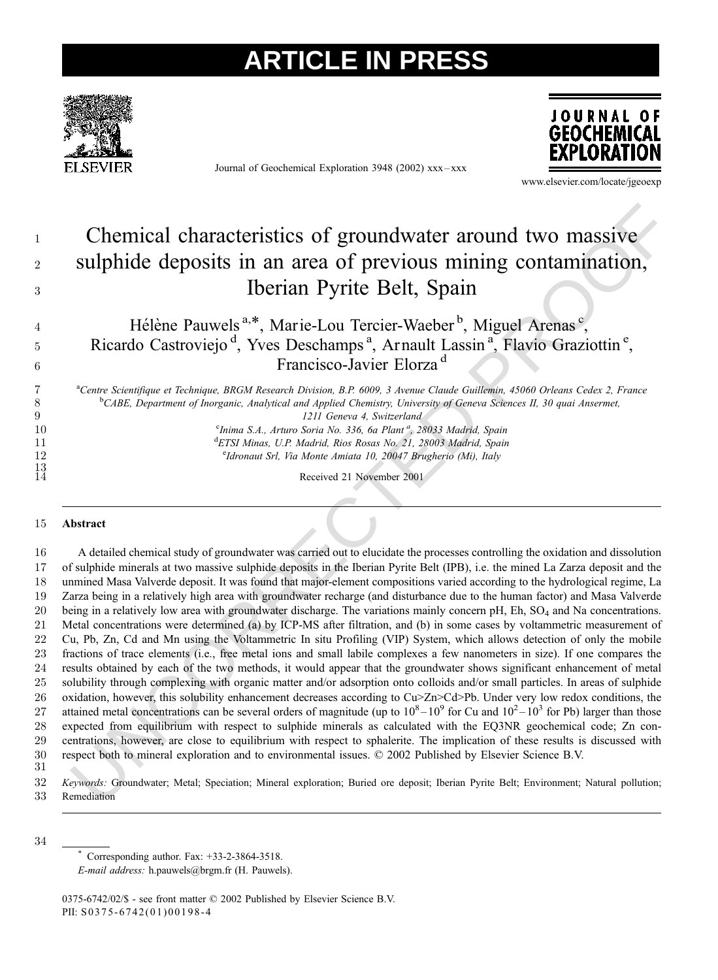

Journal of Geochemical Exploration 3948 (2002) xxx – xxx



www.elsevier.com/locate/jgeoexp

## <sup>1</sup> Chemical characteristics of groundwater around two massive <sup>2</sup> sulphide deposits in an area of previous mining contamination, 3 Iberian Pyrite Belt, Spain

4 Hélène Pauwels<sup>a,\*</sup>, Marie-Lou Tercier-Waeber<sup>b</sup>, Miguel Arenas<sup>c</sup>, 5 Ricardo Castroviejo<sup>d</sup>, Yves Deschamps<sup>a</sup>, Arnault Lassin<sup>a</sup>, Flavio Graziottin<sup>e</sup>, <sup>6</sup> Francisco-Javier Elorza <sup>d</sup>

<sup>a</sup>Centre Scientifique et Technique, BRGM Research Division, B.P. 6009, 3 Avenue Claude Guillemin, 45060 Orleans Cedex 2, France 8 <sup>b</sup>  $b$ CABE, Department of Inorganic, Analytical and Applied Chemistry, University of Geneva Sciences II, 30 quai Ansermet, 9 1211 Geneva 4, Switzerland 10 c

Inima S.A., Arturo Soria No. 336, 6a Plant<sup>a</sup>, 28033 Madrid, Spain 11 <sup>d</sup> ETSI Minas, U.P. Madrid, Rios Rosas No. 21, 28003 Madrid, Spain  $12$ <sup>e</sup>Idronaut Srl, Via Monte Amiata 10, 20047 Brugherio (Mi), Italy

Received 21 November 2001

## 15 Abstract

 $\overline{7}$ 

 $\frac{13}{14}$ 

Chemical characteristics of groundwater around two massive<br>sulphide deposits in an area of previous mining contamination,<br>berian Pyrite Belf, Spain<br>Hélène Pauvels<sup>a,\*</sup>, Marie-Lou Tercier-Waeber<sup>1,</sup> Miguel Arenas<sup>e</sup>,<br>Ricar A detailed chemical study of groundwater was carried out to elucidate the processes controlling the oxidation and dissolution of sulphide minerals at two massive sulphide deposits in the Iberian Pyrite Belt (IPB), i.e. the mined La Zarza deposit and the unmined Masa Valverde deposit. It was found that major-element compositions varied according to the hydrological regime, La Zarza being in a relatively high area with groundwater recharge (and disturbance due to the human factor) and Masa Valverde 20 being in a relatively low area with groundwater discharge. The variations mainly concern pH, Eh, SO<sub>4</sub> and Na concentrations.<br>21 Metal concentrations were determined (a) by ICP-MS after filtration, and (b) in some cases Metal concentrations were determined (a) by ICP-MS after filtration, and (b) in some cases by voltammetric measurement of Cu, Pb, Zn, Cd and Mn using the Voltammetric In situ Profiling (VIP) System, which allows detection of only the mobile fractions of trace elements (i.e., free metal ions and small labile complexes a few nanometers in size). If one compares the results obtained by each of the two methods, it would appear that the groundwater shows significant enhancement of metal solubility through complexing with organic matter and/or adsorption onto colloids and/or small particles. In areas of sulphide 26 oxidation, however, this solubility enhancement decreases according to Cu>Zn>Cd>Pb. Under very low redox conditions, the 27 attained metal concentrations can be several orders of magnitude (up to  $10^8 - 10^9$  for Cu and  $10^2 - 10^3$  for Pb) larger than those expected from equilibrium with respect to sulphide minerals as calculated with the EQ3NR geochemical code; Zn con- centrations, however, are close to equilibrium with respect to sphalerite. The implication of these results is discussed with respect both to mineral exploration and to environmental issues. D 2002 Published by Elsevier Science B.V.

31

32 Keywords: Groundwater; Metal; Speciation; Mineral exploration; Buried ore deposit; Iberian Pyrite Belt; Environment; Natural pollution; 33 Remediation

34

Corresponding author. Fax: +33-2-3864-3518.

E-mail address: h.pauwels@brgm.fr (H. Pauwels).

0375-6742/02/\$ - see front matter © 2002 Published by Elsevier Science B.V. PII: S0375-6742(01)00198-4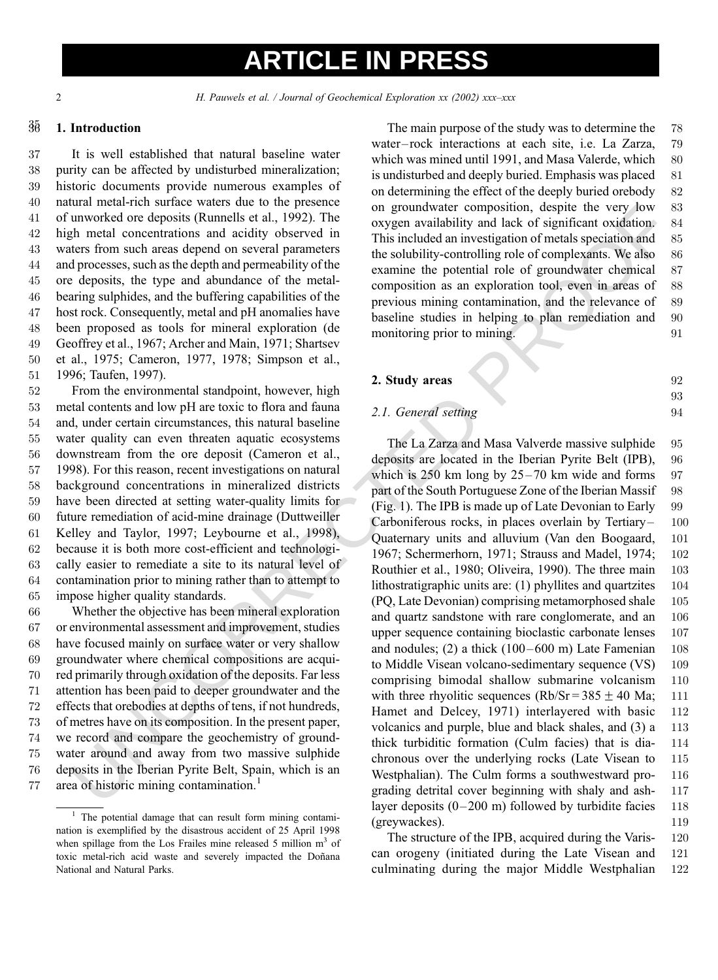2 H. Pauwels et al. / Journal of Geochemical Exploration xx (2002) xxx–xxx

## $\frac{35}{96}$  1. Introduction

 It is well established that natural baseline water purity can be affected by undisturbed mineralization; historic documents provide numerous examples of natural metal-rich surface waters due to the presence of unworked ore deposits (Runnells et al., 1992). The high metal concentrations and acidity observed in waters from such areas depend on several parameters and processes, such as the depth and permeability of the ore deposits, the type and abundance of the metal- bearing sulphides, and the buffering capabilities of the host rock. Consequently, metal and pH anomalies have been proposed as tools for mineral exploration (de Geoffrey et al., 1967; Archer and Main, 1971; Shartsev et al., 1975; Cameron, 1977, 1978; Simpson et al., 1996; Taufen, 1997).

 From the environmental standpoint, however, high metal contents and low pH are toxic to flora and fauna and, under certain circumstances, this natural baseline water quality can even threaten aquatic ecosystems downstream from the ore deposit (Cameron et al., 1998). For this reason, recent investigations on natural background concentrations in mineralized districts have been directed at setting water-quality limits for future remediation of acid-mine drainage (Duttweiller Kelley and Taylor, 1997; Leybourne et al., 1998), because it is both more cost-efficient and technologi- cally easier to remediate a site to its natural level of contamination prior to mining rather than to attempt to impose higher quality standards.

 Whether the objective has been mineral exploration or environmental assessment and improvement, studies have focused mainly on surface water or very shallow groundwater where chemical compositions are acqui- red primarily through oxidation of the deposits. Far less attention has been paid to deeper groundwater and the effects that orebodies at depths of tens, if not hundreds, of metres have on its composition. In the present paper, we record and compare the geochemistry of ground- water around and away from two massive sulphide deposits in the Iberian Pyrite Belt, Spain, which is an 77 area of historic mining contamination.<sup>1</sup>

The main purpose of the study was to determine the 78 water-rock interactions at each site, i.e. La Zarza, 79 which was mined until 1991, and Masa Valerde, which 80 is undisturbed and deeply buried. Emphasis was placed 81 on determining the effect of the deeply buried orebody 82 on groundwater composition, despite the very low 83 oxygen availability and lack of significant oxidation. 84 This included an investigation of metals speciation and 85 the solubility-controlling role of complexants. We also 86 examine the potential role of groundwater chemical 87 composition as an exploration tool, even in areas of 88 previous mining contamination, and the relevance of 89 baseline studies in helping to plan remediation and 90 monitoring prior to mining. 91

### 2. Study areas 92

## 2.1. General setting 94

ura intellectrica surate be well with presence<br>of the mathematic and a proposition and a mathematic composition, expression and a mathematic meters for our state of the presence of the mathematic contents are a mathematic The La Zarza and Masa Valverde massive sulphide 95 deposits are located in the Iberian Pyrite Belt (IPB), 96 which is  $250 \text{ km}$  long by  $25 - 70 \text{ km}$  wide and forms 97 part of the South Portuguese Zone of the Iberian Massif 98 (Fig. 1). The IPB is made up of Late Devonian to Early 99 Carboniferous rocks, in places overlain by Tertiary – 100 Quaternary units and alluvium (Van den Boogaard, 101 1967; Schermerhorn, 1971; Strauss and Madel, 1974; 102 Routhier et al., 1980; Oliveira, 1990). The three main 103 lithostratigraphic units are: (1) phyllites and quartzites 104 (PQ, Late Devonian) comprising metamorphosed shale 105 and quartz sandstone with rare conglomerate, and an 106 upper sequence containing bioclastic carbonate lenses 107 and nodules; (2) a thick  $(100 - 600 \text{ m})$  Late Famenian 108 to Middle Visean volcano-sedimentary sequence (VS) 109 comprising bimodal shallow submarine volcanism 110 with three rhyolitic sequences (Rb/Sr =  $385 \pm 40$  Ma; 111 Hamet and Delcey, 1971) interlayered with basic 112 volcanics and purple, blue and black shales, and (3) a 113 thick turbiditic formation (Culm facies) that is dia- 114 chronous over the underlying rocks (Late Visean to 115 Westphalian). The Culm forms a southwestward pro- 116 grading detrital cover beginning with shaly and ash- 117 layer deposits  $(0-200 \text{ m})$  followed by turbidite facies 118 (greywackes). 119

The structure of the IPB, acquired during the Varis- 120 can orogeny (initiated during the Late Visean and 121 culminating during the major Middle Westphalian 122

93

 $1$  The potential damage that can result form mining contamination is exemplified by the disastrous accident of 25 April 1998 when spillage from the Los Frailes mine released 5 million m<sup>3</sup> of toxic metal-rich acid waste and severely impacted the Doñana National and Natural Parks.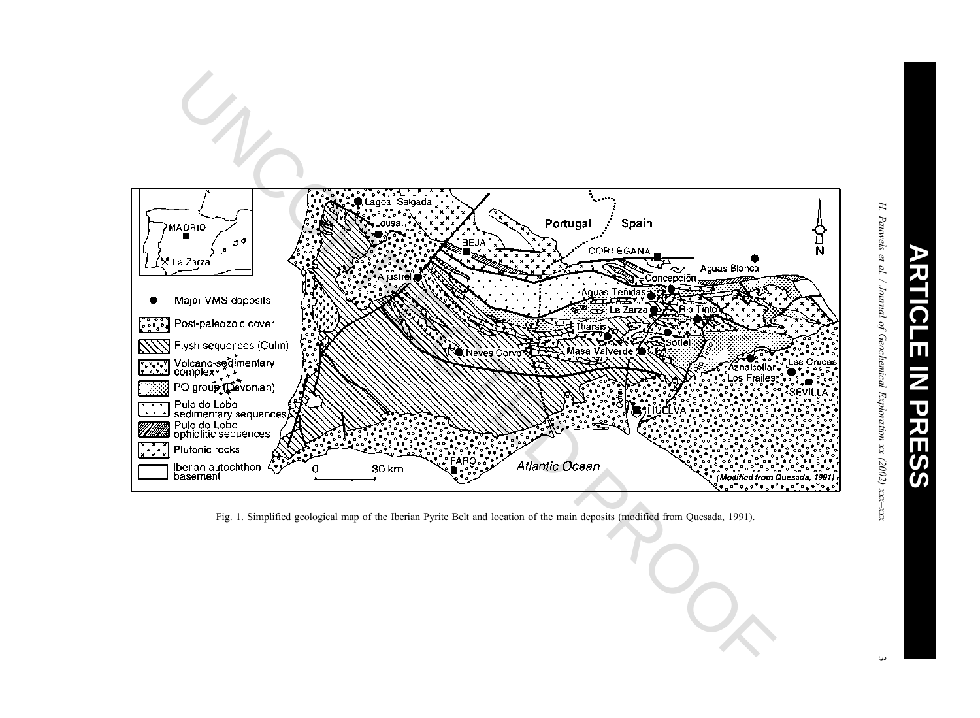

Fig. 1. Simplified geological map of the Iberian Pyrite Belt and location of the main deposits (modified from Quesada, 1991).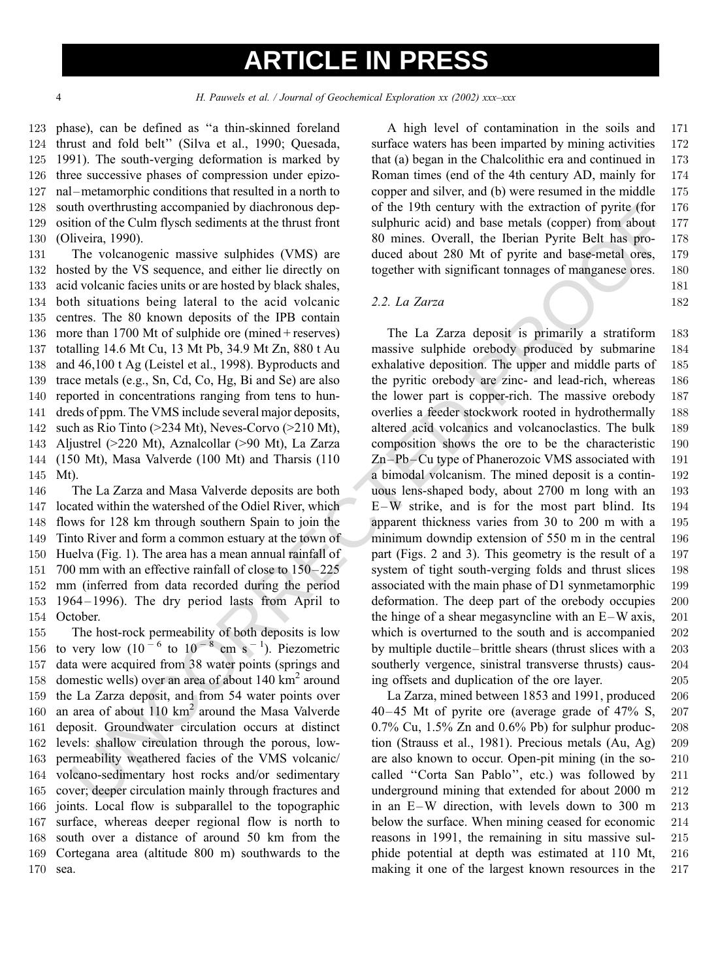4 H. Pauwels et al. / Journal of Geochemical Exploration xx (2002) xxx–xxx

 phase), can be defined as ''a thin-skinned foreland thrust and fold belt'' (Silva et al., 1990; Quesada, 1991). The south-verging deformation is marked by three successive phases of compression under epizo- nal –metamorphic conditions that resulted in a north to south overthrusting accompanied by diachronous dep- osition of the Culm flysch sediments at the thrust front (Oliveira, 1990).

 The volcanogenic massive sulphides (VMS) are hosted by the VS sequence, and either lie directly on acid volcanic facies units or are hosted by black shales, both situations being lateral to the acid volcanic centres. The 80 known deposits of the IPB contain more than 1700 Mt of sulphide ore (mined + reserves) totalling 14.6 Mt Cu, 13 Mt Pb, 34.9 Mt Zn, 880 t Au and 46,100 t Ag (Leistel et al., 1998). Byproducts and trace metals (e.g., Sn, Cd, Co, Hg, Bi and Se) are also reported in concentrations ranging from tens to hun- dreds of ppm. The VMS include several major deposits, such as Rio Tinto (>234 Mt), Neves-Corvo (>210 Mt), Aljustrel (>220 Mt), Aznalcollar (>90 Mt), La Zarza (150 Mt), Masa Valverde (100 Mt) and Tharsis (110 145 Mt).

 The La Zarza and Masa Valverde deposits are both located within the watershed of the Odiel River, which flows for 128 km through southern Spain to join the Tinto River and form a common estuary at the town of Huelva (Fig. 1). The area has a mean annual rainfall of 151 700 mm with an effective rainfall of close to  $150 - 225$  mm (inferred from data recorded during the period 1964 – 1996). The dry period lasts from April to 154 October.

 The host-rock permeability of both deposits is low 156 to very low  $(10^{-6} \text{ to } 10^{-8} \text{ cm s}^{-1})$ . Piezometric data were acquired from 38 water points (springs and 158 domestic wells) over an area of about 140 km<sup>2</sup> around the La Zarza deposit, and from 54 water points over 160 an area of about 110 km<sup>2</sup> around the Masa Valverde deposit. Groundwater circulation occurs at distinct levels: shallow circulation through the porous, low- permeability weathered facies of the VMS volcanic/ volcano-sedimentary host rocks and/or sedimentary cover; deeper circulation mainly through fractures and joints. Local flow is subparallel to the topographic surface, whereas deeper regional flow is north to south over a distance of around 50 km from the Cortegana area (altitude 800 m) southwards to the 170 sea.

A high level of contamination in the soils and 171 surface waters has been imparted by mining activities 172 that (a) began in the Chalcolithic era and continued in 173 Roman times (end of the 4th century AD, mainly for 174 copper and silver, and (b) were resumed in the middle 175 of the 19th century with the extraction of pyrite (for 176 sulphuric acid) and base metals (copper) from about 177 80 mines. Overall, the Iberian Pyrite Belt has pro- 178 duced about 280 Mt of pyrite and base-metal ores, 179 together with significant tonnages of manganese ores. 180

181

2.2. La Zarza 182

unbownthus accountain of the theorem and the divin control of the DHI control of the Claim (Figs (from the curvation of the Clum (Figs (from the curvation of the Clum (Solution) and the control of the Clum (Figs (700). So The La Zarza deposit is primarily a stratiform 183 massive sulphide orebody produced by submarine 184 exhalative deposition. The upper and middle parts of 185 the pyritic orebody are zinc- and lead-rich, whereas 186 the lower part is copper-rich. The massive orebody 187 overlies a feeder stockwork rooted in hydrothermally 188 altered acid volcanics and volcanoclastics. The bulk 189 composition shows the ore to be the characteristic 190 Zn–Pb–Cu type of Phanerozoic VMS associated with 191 a bimodal volcanism. The mined deposit is a contin- 192 uous lens-shaped body, about 2700 m long with an 193  $E-W$  strike, and is for the most part blind. Its 194 apparent thickness varies from 30 to 200 m with a 195 minimum downdip extension of 550 m in the central 196 part (Figs. 2 and 3). This geometry is the result of a 197 system of tight south-verging folds and thrust slices 198 associated with the main phase of D1 synmetamorphic 199 deformation. The deep part of the orebody occupies 200 the hinge of a shear megasyncline with an  $E-W$  axis, 201 which is overturned to the south and is accompanied 202 by multiple ductile-brittle shears (thrust slices with a 203 southerly vergence, sinistral transverse thrusts) caus- 204 ing offsets and duplication of the ore layer. 205

La Zarza, mined between 1853 and 1991, produced 206 40–45 Mt of pyrite ore (average grade of  $47\%$  S,  $207$ 0.7% Cu, 1.5% Zn and 0.6% Pb) for sulphur produc- 208 tion (Strauss et al., 1981). Precious metals (Au, Ag) 209 are also known to occur. Open-pit mining (in the so- 210 called ''Corta San Pablo'', etc.) was followed by 211 underground mining that extended for about 2000 m 212 in an E-W direction, with levels down to 300 m 213 below the surface. When mining ceased for economic 214 reasons in 1991, the remaining in situ massive sul- 215 phide potential at depth was estimated at 110 Mt, 216 making it one of the largest known resources in the 217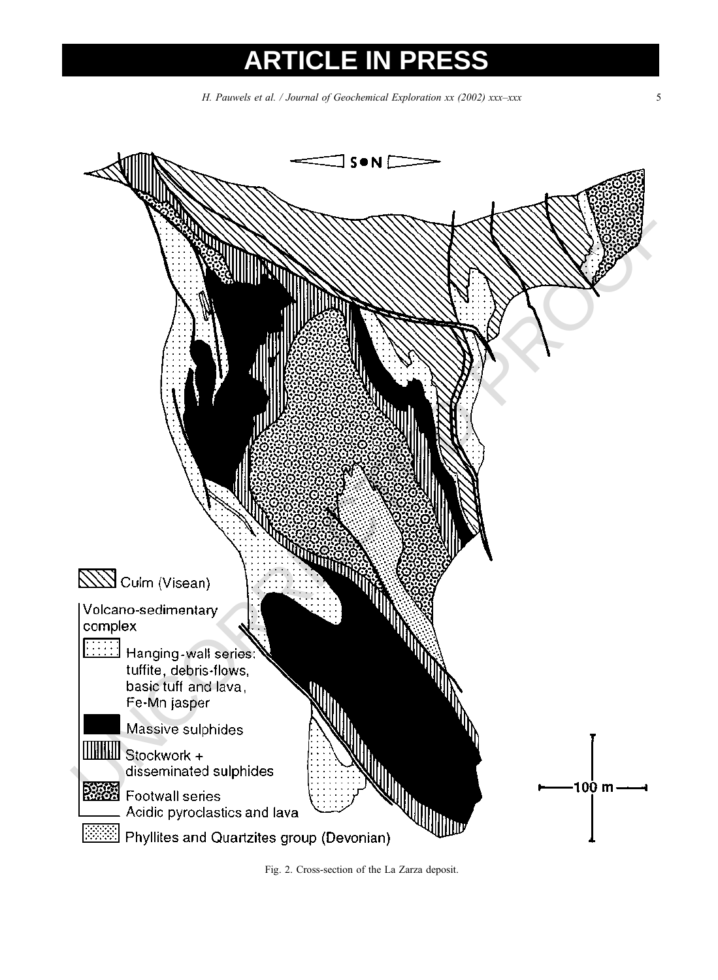H. Pauwels et al. / Journal of Geochemical Exploration xx (2002) xxx–xxx 5



Fig. 2. Cross-section of the La Zarza deposit.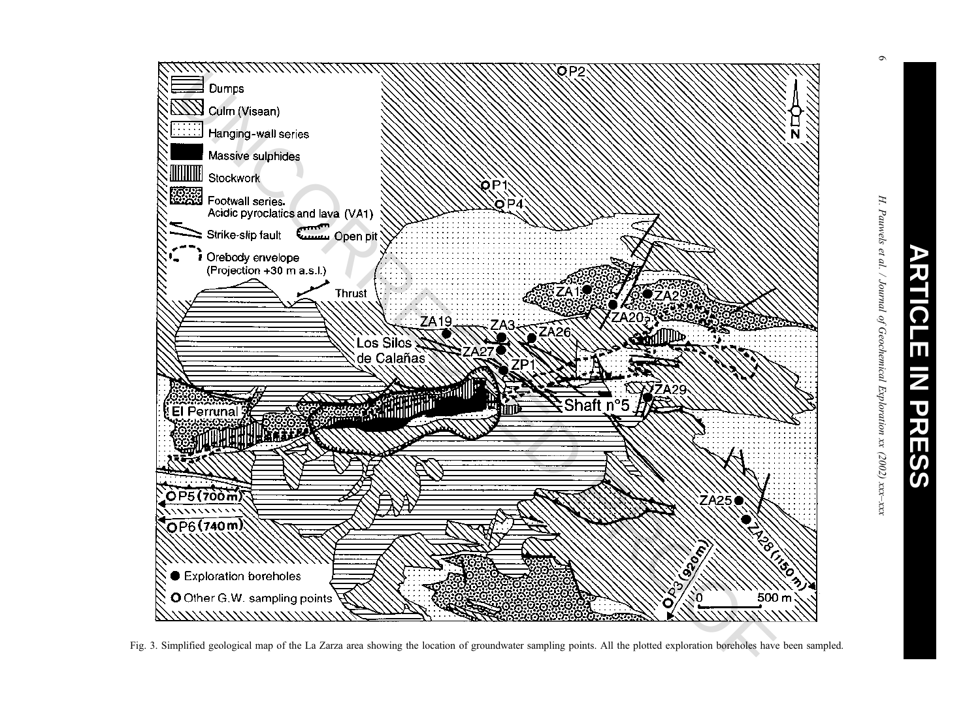

Fig. 3. Simplified geological map of the La Zarza area showing the location of groundwater sampling points. All the plotted exploration boreholes have been sampled.

Pauwels et al. / Journal of Geochemical Exploration xx (2002) xxx-xxx

 $\boldsymbol{H}$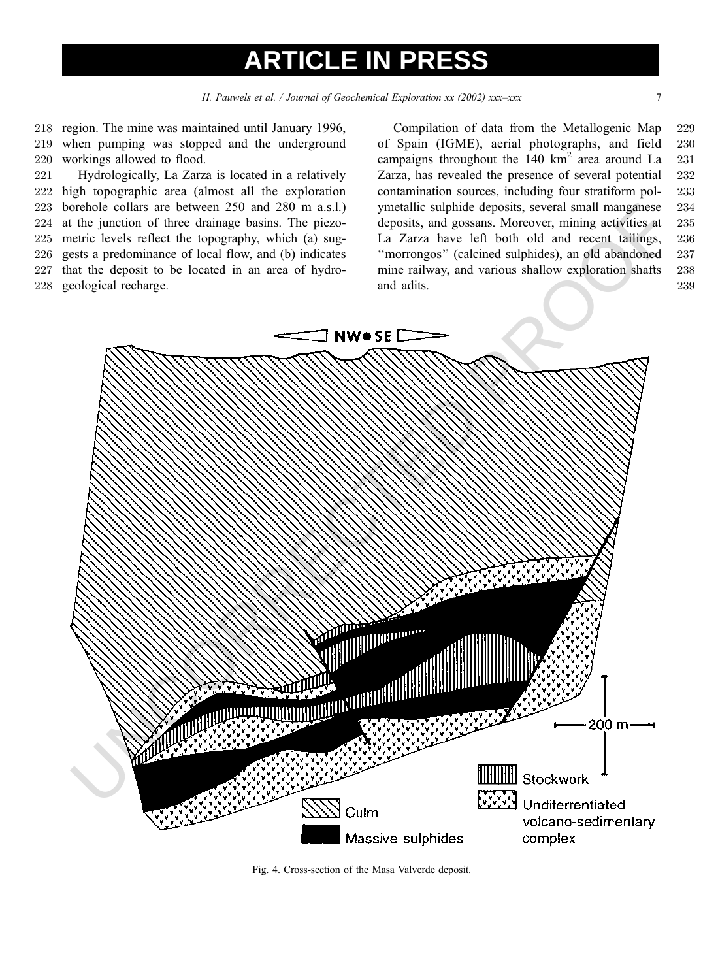218 region. The mine was maintained until January 1996, 219 when pumping was stopped and the underground 220 workings allowed to flood.

 Hydrologically, La Zarza is located in a relatively high topographic area (almost all the exploration borehole collars are between 250 and 280 m a.s.l.) at the junction of three drainage basins. The piezo- metric levels reflect the topography, which (a) sug- gests a predominance of local flow, and (b) indicates that the deposit to be located in an area of hydro-geological recharge.

Compilation of data from the Metallogenic Map 229 of Spain (IGME), aerial photographs, and field 230 campaigns throughout the  $140 \text{ km}^2$  area around La  $231$ Zarza, has revealed the presence of several potential 232 contamination sources, including four stratiform pol- 233 ymetallic sulphide deposits, several small manganese 234 deposits, and gossans. Moreover, mining activities at 235 La Zarza have left both old and recent tailings, 236 ''morrongos'' (calcined sulphides), an old abandoned 237 mine railway, and various shallow exploration shafts 238 and adits. 239



Fig. 4. Cross-section of the Masa Valverde deposit.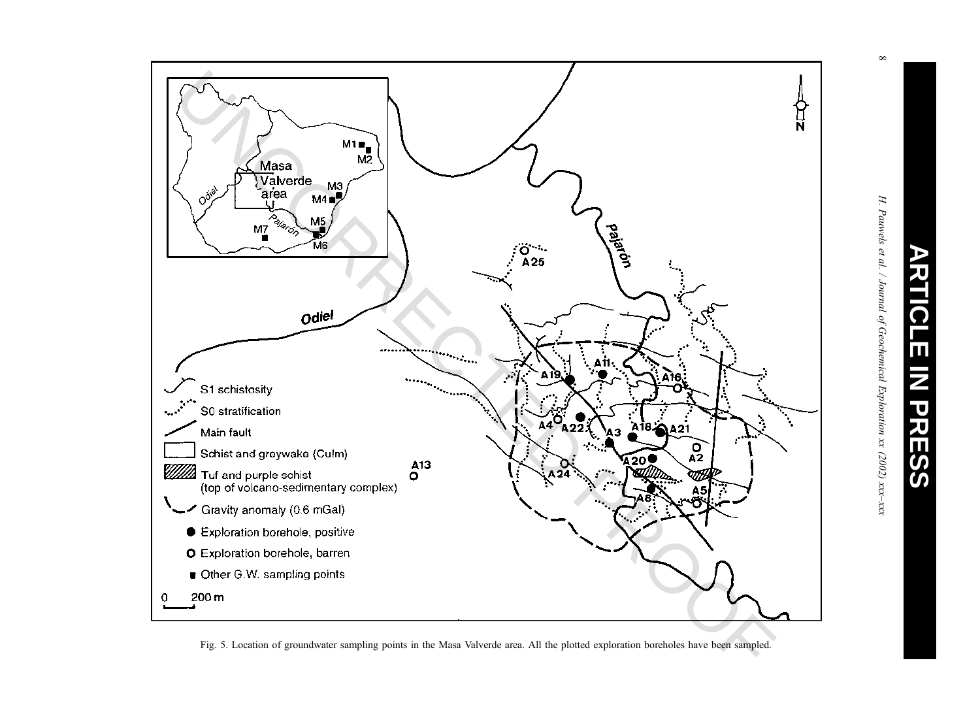

Fig. 5. Location of groundwater sampling points in the Masa Valverde area. All the plotted exploration boreholes have been sampled.

H. Pauwels et al. / Journal of Geochemical Exploration xx (2002) xxx-xxx

 $\infty$  $H.$  Pauwels et al. / Journal of Geochemical Exploration xx (2002) xxx–xxx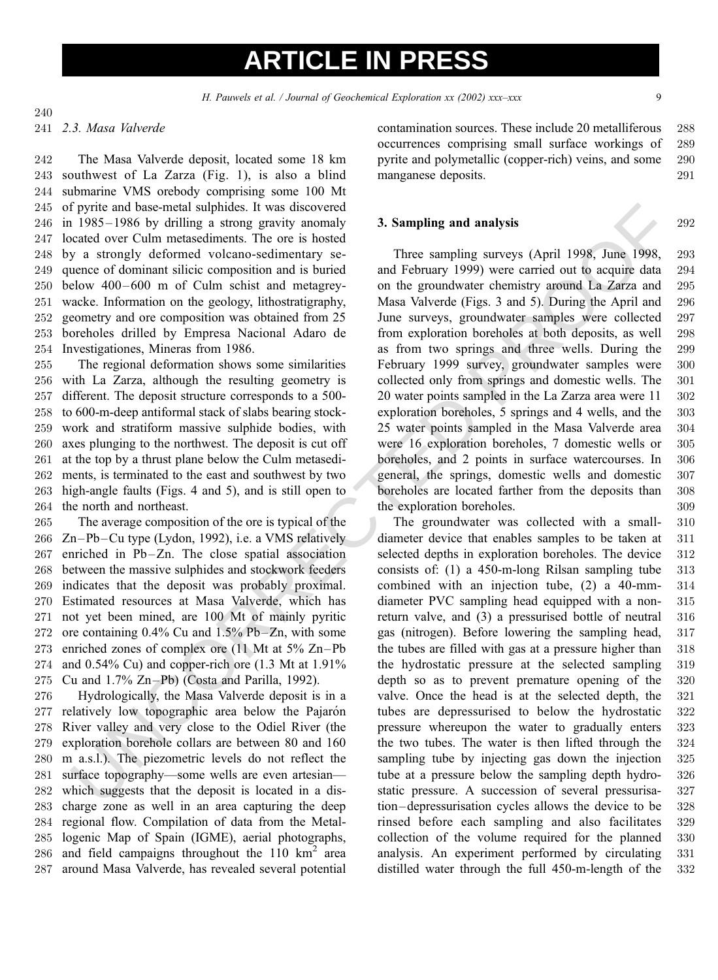## 241 2.3. Masa Valverde

240

 The Masa Valverde deposit, located some 18 km southwest of La Zarza (Fig. 1), is also a blind submarine VMS orebody comprising some 100 Mt of pyrite and base-metal sulphides. It was discovered in 1985 –1986 by drilling a strong gravity anomaly located over Culm metasediments. The ore is hosted by a strongly deformed volcano-sedimentary se- quence of dominant silicic composition and is buried below  $400 - 600$  m of Culm schist and metagrey- wacke. Information on the geology, lithostratigraphy, geometry and ore composition was obtained from 25 boreholes drilled by Empresa Nacional Adaro de Investigationes, Mineras from 1986.

 The regional deformation shows some similarities with La Zarza, although the resulting geometry is different. The deposit structure corresponds to a 500- to 600-m-deep antiformal stack of slabs bearing stock- work and stratiform massive sulphide bodies, with axes plunging to the northwest. The deposit is cut off at the top by a thrust plane below the Culm metasedi- ments, is terminated to the east and southwest by two high-angle faults (Figs. 4 and 5), and is still open to the north and northeast.

 The average composition of the ore is typical of the Zn –Pb –Cu type (Lydon, 1992), i.e. a VMS relatively enriched in Pb-Zn. The close spatial association between the massive sulphides and stockwork feeders indicates that the deposit was probably proximal. Estimated resources at Masa Valverde, which has not yet been mined, are 100 Mt of mainly pyritic 272 ore containing  $0.4\%$  Cu and  $1.5\%$  Pb-Zn, with some enriched zones of complex ore (11 Mt at 5% Zn –Pb and 0.54% Cu) and copper-rich ore (1.3 Mt at 1.91% 275 Cu and  $1.7\%$  Zn-Pb) (Costa and Parilla, 1992).

 Hydrologically, the Masa Valverde deposit is in a 277 relatively low topographic area below the Pajarón River valley and very close to the Odiel River (the exploration borehole collars are between 80 and 160 m a.s.l.). The piezometric levels do not reflect the surface topography—some wells are even artesian— which suggests that the deposit is located in a dis- charge zone as well in an area capturing the deep regional flow. Compilation of data from the Metal- logenic Map of Spain (IGME), aerial photographs, 286 and field campaigns throughout the  $110 \text{ km}^2$  area around Masa Valverde, has revealed several potential contamination sources. These include 20 metalliferous 288 occurrences comprising small surface workings of 289 pyrite and polymetallic (copper-rich) veins, and some 290 manganese deposits. 291

### 3. Sampling and analysis 292

Three sampling surveys (April 1998, June 1998, 293 and February 1999) were carried out to acquire data 294 on the groundwater chemistry around La Zarza and 295 Masa Valverde (Figs. 3 and 5). During the April and 296 June surveys, groundwater samples were collected 297 from exploration boreholes at both deposits, as well 298 as from two springs and three wells. During the 299 February 1999 survey, groundwater samples were 300 collected only from springs and domestic wells. The 301 20 water points sampled in the La Zarza area were 11 302 exploration boreholes, 5 springs and 4 wells, and the 303 25 water points sampled in the Masa Valverde area 304 were 16 exploration boreholes, 7 domestic wells or 305 boreholes, and 2 points in surface watercourses. In 306 general, the springs, domestic wells and domestic 307 boreholes are located farther from the deposits than 308 the exploration boreholes. 309

f pyrin and base-mean simple index.<br>In 1985 samely and analysis<br>1987 pyrin and assongen and backs. It was discovered to team in the simulation of Chin metassimums in the correlation of Chin metassimums in the correlation The groundwater was collected with a small- 310 diameter device that enables samples to be taken at 311 selected depths in exploration boreholes. The device 312 consists of: (1) a 450-m-long Rilsan sampling tube 313 combined with an injection tube, (2) a 40-mm- 314 diameter PVC sampling head equipped with a non- 315 return valve, and (3) a pressurised bottle of neutral 316 gas (nitrogen). Before lowering the sampling head, 317 the tubes are filled with gas at a pressure higher than 318 the hydrostatic pressure at the selected sampling 319 depth so as to prevent premature opening of the 320 valve. Once the head is at the selected depth, the 321 tubes are depressurised to below the hydrostatic 322 pressure whereupon the water to gradually enters 323 the two tubes. The water is then lifted through the 324 sampling tube by injecting gas down the injection 325 tube at a pressure below the sampling depth hydro- 326 static pressure. A succession of several pressurisa- 327 tion – depressurisation cycles allows the device to be 328 rinsed before each sampling and also facilitates 329 collection of the volume required for the planned 330 analysis. An experiment performed by circulating 331 distilled water through the full 450-m-length of the 332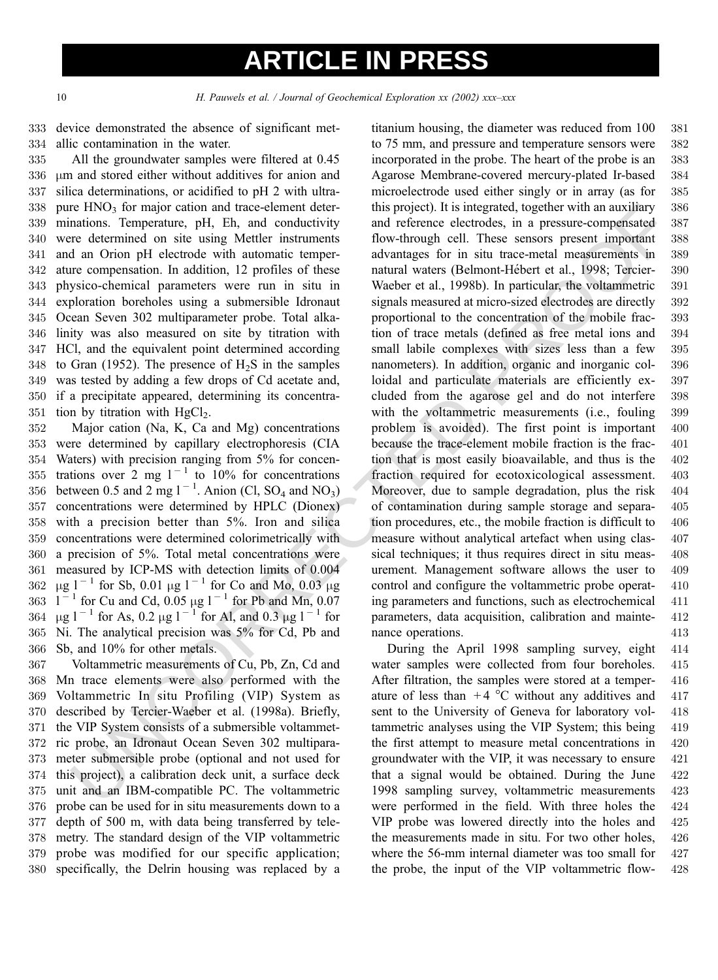10 H. Pauwels et al. / Journal of Geochemical Exploration xx (2002) xxx–xxx

333 device demonstrated the absence of significant met-334 allic contamination in the water.

 All the groundwater samples were filtered at 0.45 336 µm and stored either without additives for anion and silica determinations, or acidified to pH 2 with ultra- pure  $HNO<sub>3</sub>$  for major cation and trace-element deter- minations. Temperature, pH, Eh, and conductivity were determined on site using Mettler instruments and an Orion pH electrode with automatic temper- ature compensation. In addition, 12 profiles of these physico-chemical parameters were run in situ in exploration boreholes using a submersible Idronaut Ocean Seven 302 multiparameter probe. Total alka- linity was also measured on site by titration with HCl, and the equivalent point determined according 348 to Gran (1952). The presence of  $H_2S$  in the samples was tested by adding a few drops of Cd acetate and, if a precipitate appeared, determining its concentra-351 tion by titration with  $HgCl<sub>2</sub>$ .

 Major cation (Na, K, Ca and Mg) concentrations were determined by capillary electrophoresis (CIA Waters) with precision ranging from 5% for concen-355 trations over 2 mg  $1^{-1}$  to 10% for concentrations 356 between 0.5 and 2 mg  $1^{-1}$ . Anion (Cl, SO<sub>4</sub> and NO<sub>3</sub>) concentrations were determined by HPLC (Dionex) with a precision better than 5%. Iron and silica concentrations were determined colorimetrically with a precision of 5%. Total metal concentrations were measured by ICP-MS with detection limits of 0.004  $362 \mu g l^{-1}$  for Sb, 0.01  $\mu g l^{-1}$  for Co and Mo, 0.03  $\mu g$  $1^{-1}$  for Cu and Cd, 0.05  $\mu$ g l<sup>-1</sup> for Pb and Mn, 0.07  $\mu$ g l<sup>-1</sup> for As, 0.2  $\mu$ g l<sup>-1</sup> for Al, and 0.3  $\mu$ g l<sup>-1</sup> for Ni. The analytical precision was 5% for Cd, Pb and Sb, and 10% for other metals.

 Voltammetric measurements of Cu, Pb, Zn, Cd and Mn trace elements were also performed with the Voltammetric In situ Profiling (VIP) System as described by Tercier-Waeber et al. (1998a). Briefly, the VIP System consists of a submersible voltammet- ric probe, an Idronaut Ocean Seven 302 multipara- meter submersible probe (optional and not used for this project), a calibration deck unit, a surface deck unit and an IBM-compatible PC. The voltammetric probe can be used for in situ measurements down to a depth of 500 m, with data being transferred by tele- metry. The standard design of the VIP voltammetric probe was modified for our specific application; specifically, the Delrin housing was replaced by a

re HNO, for major caries and trace-clearent deter-<br>- this project). It is may can deresting and reference electodes, in a pressure-comprissing<br>d and Orion pH electrode with automatic fluorent and convelibred and reference titanium housing, the diameter was reduced from 100 381 to 75 mm, and pressure and temperature sensors were 382 incorporated in the probe. The heart of the probe is an 383 Agarose Membrane-covered mercury-plated Ir-based 384 microelectrode used either singly or in array (as for 385 this project). It is integrated, together with an auxiliary 386 and reference electrodes, in a pressure-compensated 387 flow-through cell. These sensors present important 388 advantages for in situ trace-metal measurements in 389 natural waters (Belmont-Hébert et al., 1998; Tercier- 390 Waeber et al., 1998b). In particular, the voltammetric 391 signals measured at micro-sized electrodes are directly 392 proportional to the concentration of the mobile frac- 393 tion of trace metals (defined as free metal ions and 394 small labile complexes with sizes less than a few 395 nanometers). In addition, organic and inorganic col- 396 loidal and particulate materials are efficiently ex- 397 cluded from the agarose gel and do not interfere 398 with the voltammetric measurements (i.e., fouling 399 problem is avoided). The first point is important 400 because the trace-element mobile fraction is the frac- 401 tion that is most easily bioavailable, and thus is the 402 fraction required for ecotoxicological assessment. 403 Moreover, due to sample degradation, plus the risk 404 of contamination during sample storage and separa- 405 tion procedures, etc., the mobile fraction is difficult to 406 measure without analytical artefact when using clas- 407 sical techniques; it thus requires direct in situ meas- 408 urement. Management software allows the user to 409 control and configure the voltammetric probe operat- 410 ing parameters and functions, such as electrochemical 411 parameters, data acquisition, calibration and mainte- 412 nance operations. 413

During the April 1998 sampling survey, eight 414 water samples were collected from four boreholes. 415 After filtration, the samples were stored at a temper- 416 ature of less than  $+4$  °C without any additives and 417 sent to the University of Geneva for laboratory vol- 418 tammetric analyses using the VIP System; this being 419 the first attempt to measure metal concentrations in 420 groundwater with the VIP, it was necessary to ensure 421 that a signal would be obtained. During the June 422 1998 sampling survey, voltammetric measurements 423 were performed in the field. With three holes the 424 VIP probe was lowered directly into the holes and 425 the measurements made in situ. For two other holes, 426 where the 56-mm internal diameter was too small for 427 the probe, the input of the VIP voltammetric flow- 428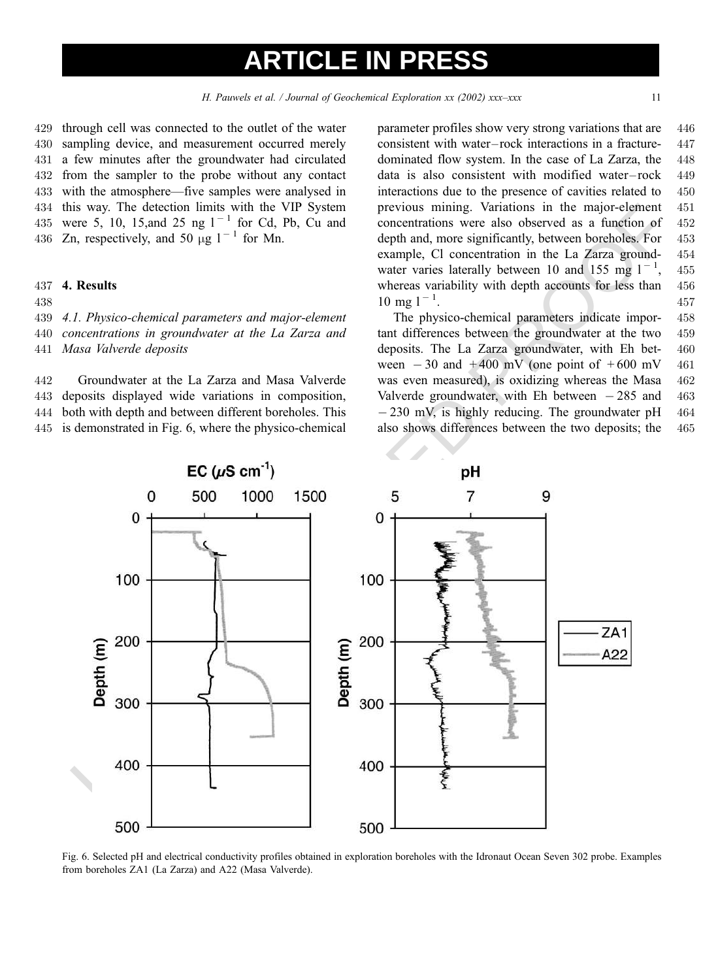through cell was connected to the outlet of the water sampling device, and measurement occurred merely a few minutes after the groundwater had circulated from the sampler to the probe without any contact with the atmosphere—five samples were analysed in this way. The detection limits with the VIP System 435 were 5, 10, 15, and 25 ng  $1^{-1}$  for Cd, Pb, Cu and 436 Zn, respectively, and 50  $\mu$ g l<sup>-1</sup> for Mn.

## 437 4. Results

438

439 4.1. Physico-chemical parameters and major-element

440 concentrations in groundwater at the La Zarza and 441 Masa Valverde deposits

 Groundwater at the La Zarza and Masa Valverde deposits displayed wide variations in composition, both with depth and between different boreholes. This is demonstrated in Fig. 6, where the physico-chemical parameter profiles show very strong variations that are 446 consistent with water – rock interactions in a fracture- 447 dominated flow system. In the case of La Zarza, the 448 data is also consistent with modified water-rock 449 interactions due to the presence of cavities related to 450 previous mining. Variations in the major-element 451 concentrations were also observed as a function of 452 depth and, more significantly, between boreholes. For 453 example, Cl concentration in the La Zarza ground- 454 water varies laterally between 10 and 155 mg  $1^{-1}$ , 455 whereas variability with depth accounts for less than 456  $10 \text{ mg } 1^{-1}$ .  $457$ 

The physico-chemical parameters indicate impor- 458 tant differences between the groundwater at the two 459 deposits. The La Zarza groundwater, with Eh bet- 460 ween  $-30$  and  $+400$  mV (one point of  $+600$  mV  $461$ was even measured), is oxidizing whereas the Masa 462 Valverde groundwater, with Eh between  $-285$  and  $463$  $-230$  mV, is highly reducing. The groundwater pH  $464$ also shows differences between the two deposits; the 465



Fig. 6. Selected pH and electrical conductivity profiles obtained in exploration boreholes with the Idronaut Ocean Seven 302 probe. Examples from boreholes ZA1 (La Zarza) and A22 (Masa Valverde).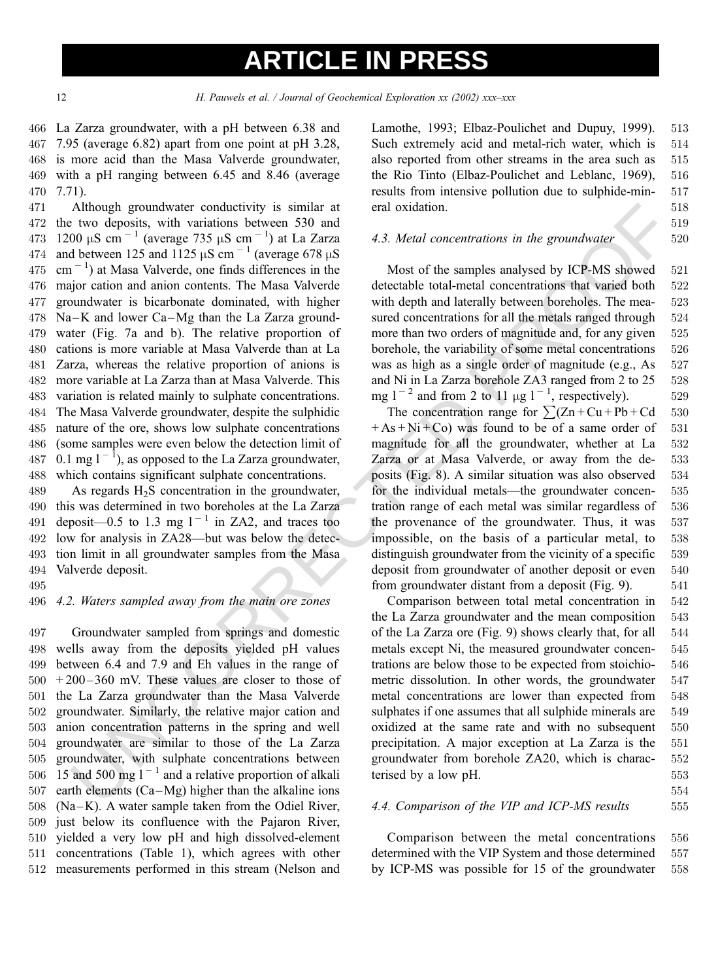La Zarza groundwater, with a pH between 6.38 and 7.95 (average 6.82) apart from one point at pH 3.28, is more acid than the Masa Valverde groundwater, with a pH ranging between 6.45 and 8.46 (average 470 7.71).

Although groundwater conditivity is similar at the calculation,<br>
altowing from the large and the same in a state of the same of the same of the same of the same is the same in the same in the same in the same is the same Although groundwater conductivity is similar at the two deposits, with variations between 530 and 473 1200  $\mu$ S cm<sup>-1</sup> (average 735  $\mu$ S cm<sup>-1</sup>) at La Zarza 474 and between 125 and 1125  $\mu$ S cm<sup>-1</sup> (average 678  $\mu$ S 475 cm<sup> $-1$ </sup>) at Masa Valverde, one finds differences in the major cation and anion contents. The Masa Valverde groundwater is bicarbonate dominated, with higher 478 Na-K and lower Ca-Mg than the La Zarza ground- water (Fig. 7a and b). The relative proportion of cations is more variable at Masa Valverde than at La Zarza, whereas the relative proportion of anions is more variable at La Zarza than at Masa Valverde. This variation is related mainly to sulphate concentrations. The Masa Valverde groundwater, despite the sulphidic nature of the ore, shows low sulphate concentrations (some samples were even below the detection limit of 487 0.1 mg  $1^{-1}$ ), as opposed to the La Zarza groundwater, which contains significant sulphate concentrations.

489 As regards  $H_2S$  concentration in the groundwater, this was determined in two boreholes at the La Zarza 491 deposit—0.5 to 1.3 mg  $1^{-1}$  in ZA2, and traces too low for analysis in ZA28—but was below the detec- tion limit in all groundwater samples from the Masa Valverde deposit.

495

## 496 4.2. Waters sampled away from the main ore zones

 Groundwater sampled from springs and domestic wells away from the deposits yielded pH values between 6.4 and 7.9 and Eh values in the range of  $500 + 200 - 360$  mV. These values are closer to those of the La Zarza groundwater than the Masa Valverde groundwater. Similarly, the relative major cation and anion concentration patterns in the spring and well groundwater are similar to those of the La Zarza groundwater, with sulphate concentrations between 506 15 and 500 mg  $1^{-1}$  and a relative proportion of alkali earth elements (Ca-Mg) higher than the alkaline ions (Na–K). A water sample taken from the Odiel River, just below its confluence with the Pajaron River, yielded a very low pH and high dissolved-element concentrations (Table 1), which agrees with other measurements performed in this stream (Nelson and

Lamothe, 1993; Elbaz-Poulichet and Dupuy, 1999). 513 Such extremely acid and metal-rich water, which is 514 also reported from other streams in the area such as 515 the Rio Tinto (Elbaz-Poulichet and Leblanc, 1969), 516 results from intensive pollution due to sulphide-min- 517 eral oxidation. 518

### 4.3. Metal concentrations in the groundwater 520

Most of the samples analysed by ICP-MS showed 521 detectable total-metal concentrations that varied both 522 with depth and laterally between boreholes. The mea- 523 sured concentrations for all the metals ranged through 524 more than two orders of magnitude and, for any given 525 borehole, the variability of some metal concentrations 526 was as high as a single order of magnitude (e.g., As 527) and Ni in La Zarza borehole ZA3 ranged from 2 to 25 528 mg  $1^{-2}$  and from 2 to 11  $\mu$ g  $1^{-1}$ , respectively). 529

 $t_1$  T<sup>-2</sup> and from 2 to 11  $\mu$ g 1<sup>-1</sup>, respectively). 529<br>The concentration range for  $\sum (Zn + Cu + Pb + Cd)$  530  $+ As + Ni + Co$ ) was found to be of a same order of 531 magnitude for all the groundwater, whether at La 532 Zarza or at Masa Valverde, or away from the de- 533 posits (Fig. 8). A similar situation was also observed 534 for the individual metals—the groundwater concen- 535 tration range of each metal was similar regardless of 536 the provenance of the groundwater. Thus, it was 537 impossible, on the basis of a particular metal, to 538 distinguish groundwater from the vicinity of a specific 539 deposit from groundwater of another deposit or even 540 from groundwater distant from a deposit (Fig. 9).  $541$ 

Comparison between total metal concentration in 542 the La Zarza groundwater and the mean composition 543 of the La Zarza ore (Fig. 9) shows clearly that, for all 544 metals except Ni, the measured groundwater concen- 545 trations are below those to be expected from stoichio- 546 metric dissolution. In other words, the groundwater 547 metal concentrations are lower than expected from 548 sulphates if one assumes that all sulphide minerals are 549 oxidized at the same rate and with no subsequent 550 precipitation. A major exception at La Zarza is the 551 groundwater from borehole ZA20, which is charac- 552 terised by a low pH. 553

## 4.4. Comparison of the VIP and ICP-MS results 555

Comparison between the metal concentrations 556 determined with the VIP System and those determined 557 by ICP-MS was possible for 15 of the groundwater 558

519

554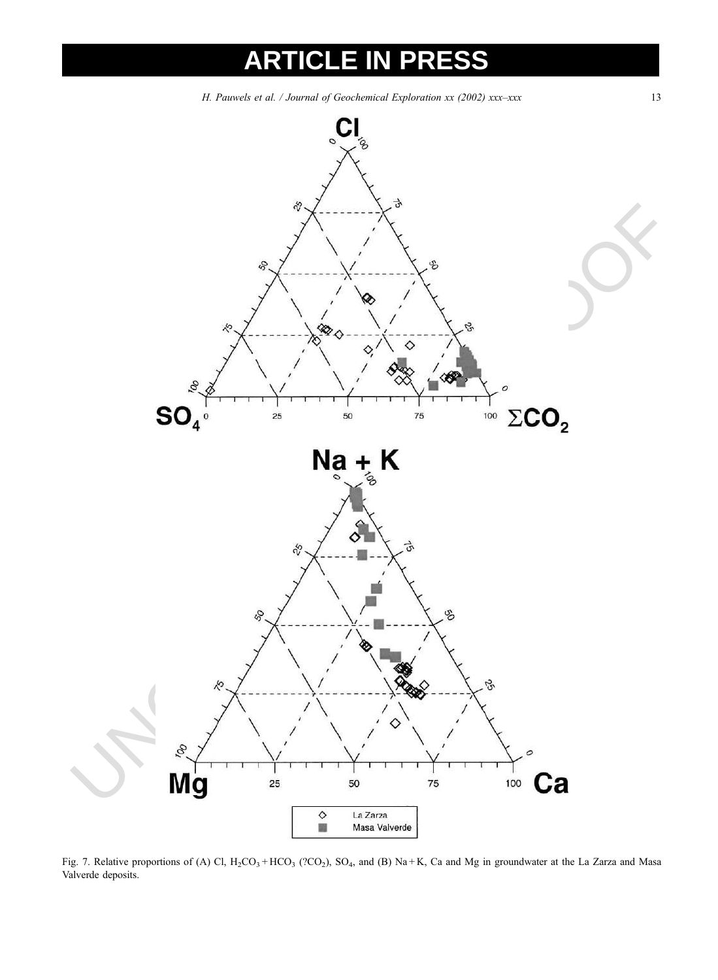H. Pauwels et al. / Journal of Geochemical Exploration xx (2002) xxx-xxx 13



Fig. 7. Relative proportions of (A) Cl,  $H_2CO_3 + HCO_3$  (?CO<sub>2</sub>), SO<sub>4</sub>, and (B) Na + K, Ca and Mg in groundwater at the La Zarza and Masa Valverde deposits.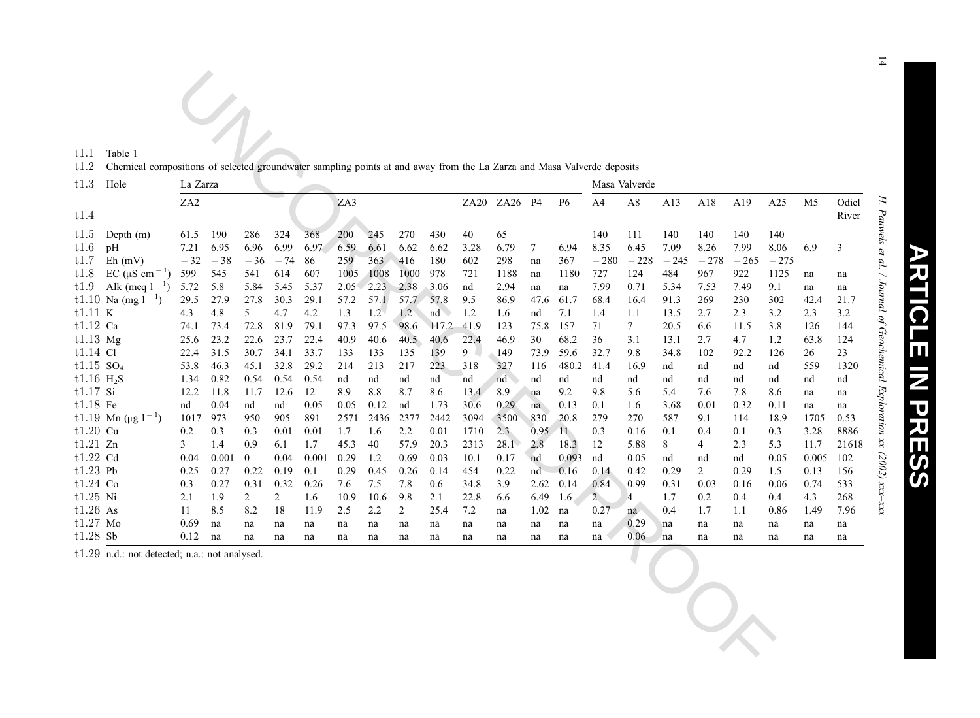#### t1.1 Table 1

| t1.3                     | Hole                                         | La Zarza        |              |                |                |             |              |              |               |             |                |              |           |             | Masa Valverde |                 |             |             |             |                  |                             |                           |
|--------------------------|----------------------------------------------|-----------------|--------------|----------------|----------------|-------------|--------------|--------------|---------------|-------------|----------------|--------------|-----------|-------------|---------------|-----------------|-------------|-------------|-------------|------------------|-----------------------------|---------------------------|
| t1.4                     |                                              | ZA <sub>2</sub> |              |                |                |             | ZA3          |              |               |             |                | ZA20 ZA26 P4 |           | P6          | A4            | A8              | A13         | A18         | A19         | A25              | M <sub>5</sub>              | Odiel<br>River            |
| t1.5                     | Depth $(m)$                                  | 61.5            | 190          | 286            | 324            | 368         | 200          | 245          | 270           | 430         | 40             | 65           |           |             | 140           | 111             | 140         | 140         | 140         | 140              |                             |                           |
| t1.6                     | pH                                           | 7.21            | 6.95         | 6.96           | 6.99           | 6.97        | 6.59         | 6.61         | 6.62          | 6.62        | 3.28           | 6.79         | $\tau$    | 6.94        | 8.35          | 6.45            | 7.09        | 8.26        | 7.99        | 8.06             | 6.9                         | 3                         |
| t1.7                     | $Eh$ (mV)<br>EC ( $\mu$ S cm <sup>-1</sup> ) | $-32$           | $-38$        | $-36$          | $-74$          | 86          | 259          | 363          | 416           | 180         | 602            | 298          | na        | 367         | $-280$        | $-228$          | $-245$      | $-278$      | $-265$      | $-275$           |                             |                           |
| t1.8<br>t1.9             | Alk (meq $1^{-1}$ )                          | 599<br>5.72     | 545<br>5.8   | 541<br>5.84    | 614<br>5.45    | 607<br>5.37 | 1005<br>2.05 | 1008<br>2.23 | 1000<br>2.38  | 978<br>3.06 | 721<br>nd      | 1188<br>2.94 | na<br>na  | 1180<br>na  | 727<br>7.99   | 124<br>0.71     | 484<br>5.34 | 967<br>7.53 | 922<br>7.49 | 1125<br>9.1      | na<br>na                    | na<br>$\operatorname{na}$ |
|                          | t1.10 Na (mg $1^{-1}$ )                      | 29.5            | 27.9         | 27.8           | 30.3           | 29.1        | 57.2         | 57.1         | 57.7          | 57.8        | 9.5            | 86.9         | 47.6      | 61.7        | 68.4          | 16.4            | 91.3        | 269         | 230         | 302              | 42.4                        | 21.7                      |
| t1.11 K                  |                                              | 4.3             | 4.8          | 5              | 4.7            | 4.2         | 1.3          | 1.2          | $1.2^{\circ}$ | nd          | 1.2            | 1.6          | nd        | 7.1         | 1.4           | 1.1             | 13.5        | 2.7         | 2.3         | 3.2              | 2.3                         | 3.2                       |
| $t1.12$ Ca               |                                              | 74.1            | 73.4         | 72.8           | 81.9           | 79.1        | 97.3         | 97.5         | 98.6          | 117.2       | 41.9           | 123          | 75.8      | 157         | 71            | $7\overline{ }$ | 20.5        | 6.6         | 11.5        | 3.8              | 126                         | 144                       |
| $t1.13$ Mg               |                                              | 25.6            | 23.2         | 22.6           | 23.7           | 22.4        | 40.9         | 40.6         | 40.5          | 40.6        | 22.4           | 46.9         | 30        | 68.2        | 36            | 3.1             | 13.1        | 2.7         | 4.7         | 1.2              | 63.8                        | 124                       |
| $t1.14 \text{ Cl}$       |                                              | 22.4            | 31.5         | 30.7           | 34.1           | 33.7        | 133          | 133          | 135           | 139         | 9 <sup>1</sup> | 149          | 73.9      | 59.6        | 32.7          | 9.8             | 34.8        | 102         | 92.2        | 126              | 26                          | 23                        |
| $t1.15$ SO <sub>4</sub>  |                                              | 53.8            | 46.3         | 45.1           | 32.8           | 29.2        | 214          | 213          | 217           | 223         | 318            | 327          | 116       | 480.2       | 41.4          | 16.9            | nd          | nd          | nd          | nd               | 559                         | 1320                      |
| $t1.16$ H <sub>2</sub> S |                                              | 1.34            | 0.82         | 0.54           | 0.54           | 0.54        | nd           | nd           | nd            | nd          | nd             | nd           | nd        | nd          | nd            | nd              | nd          | nd          | nd          | nd               | nd                          | nd                        |
| $t1.17$ Si<br>t1.18 Fe   |                                              | 12.2<br>nd      | 11.8<br>0.04 | 11.7<br>nd     | 12.6<br>nd     | 12<br>0.05  | 8.9<br>0.05  | 8.8<br>0.12  | 8.7<br>nd     | 8.6<br>1.73 | 13.4<br>30.6   | 8.9<br>0.29  | na        | 9.2<br>0.13 | 9.8<br>0.1    | 5.6<br>1.6      | 5.4<br>3.68 | 7.6<br>0.01 | 7.8<br>0.32 | 8.6<br>0.11      | na                          | na                        |
|                          | t1.19 Mn ( $\mu$ g 1 <sup>-1</sup> )         | 1017            | 973          | 950            | 905            | 891         | 2571         | 2436         | 2377          | 2442        | 3094           | 3500         | na<br>830 | 20.8        | 279           | 270             | 587         | 9.1         | 114         | 18.9             | $\operatorname{na}$<br>1705 | na<br>0.53                |
| $t1.20$ Cu               |                                              | 0.2             | 0.3          | 0.3            | 0.01           | 0.01        | 1.7          | 1.6          | 2.2           | 0.01        | 1710           | 2.3          | 0.95      | 11          | 0.3           | 0.16            | 0.1         | 0.4         | 0.1         | 0.3              | 3.28                        | 8886                      |
| $t1.21$ Zn               |                                              | 3               | 1.4          | 0.9            | 6.1            | 1.7         | 45.3         | 40           | 57.9          | 20.3        | 2313           | 28.1         | 2.8       | 18.3        | 12            | 5.88            | 8           | 4           | 2.3         | 5.3              | 11.7                        | 21618                     |
| $t1.22$ Cd               |                                              | 0.04            | 0.001        | $\mathbf{0}$   | 0.04           | 0.001       | 0.29         | 1.2          | 0.69          | 0.03        | 10.1           | 0.17         | nd        | 0.093       | nd            | 0.05            | nd          | nd          | nd          | 0.05             | 0.005                       | 102                       |
| $t1.23$ Pb               |                                              | 0.25            | 0.27         | 0.22           | 0.19           | 0.1         | 0.29         | 0.45         | 0.26          | 0.14        | 454            | 0.22         | nd        | 0.16        | 0.14          | 0.42            | 0.29        | 2           | 0.29        | 1.5              | 0.13                        | 156                       |
| $t1.24$ Co               |                                              | 0.3             | 0.27         | 0.31           | 0.32           | 0.26        | 7.6          | 7.5          | 7.8           | 0.6         | 34.8           | 3.9          | 2.62      | 0.14        | 0.84          | 0.99            | 0.31        | 0.03        | 0.16        | 0.06             | 0.74                        | 533                       |
| $t1.25$ Ni               |                                              | 2.1             | 1.9          | $\overline{2}$ | $\overline{c}$ | 1.6         | 10.9         | 10.6         | 9.8           | 2.1         | 22.8           | 6.6          | 6.49      | 1.6         | $2^{\circ}$   | $\overline{4}$  | 1.7         | 0.2         | 0.4         | 0.4              | 4.3                         | 268                       |
| $t1.26$ As               |                                              | 11              | 8.5          | 8.2            | 18             | 11.9        | 2.5          | 2.2          | 2             | 25.4        | 7.2            | na           | 1.02      | na          | 0.27          | na              | 0.4         | 1.7         | 1.1         | 0.86             | 1.49                        | 7.96                      |
| t1.27<br>t1.28           | Mo<br>Sb                                     | 0.69<br>0.12    | na           | na             | na             | na          | na           | na           | na            | na          | na             | na           | na        | na          | na            | 0.29<br>0.06    | na          | na          | na          | na               | na                          | na                        |
| t1.29                    | n.d.: not detected; n.a.: not analysed.      |                 | na           | na             | na             | na          | na           | na           | na            | na          | na             | na           | na        | na          | na            |                 | na          | na          | na          | na<br><b>POR</b> | na                          | na                        |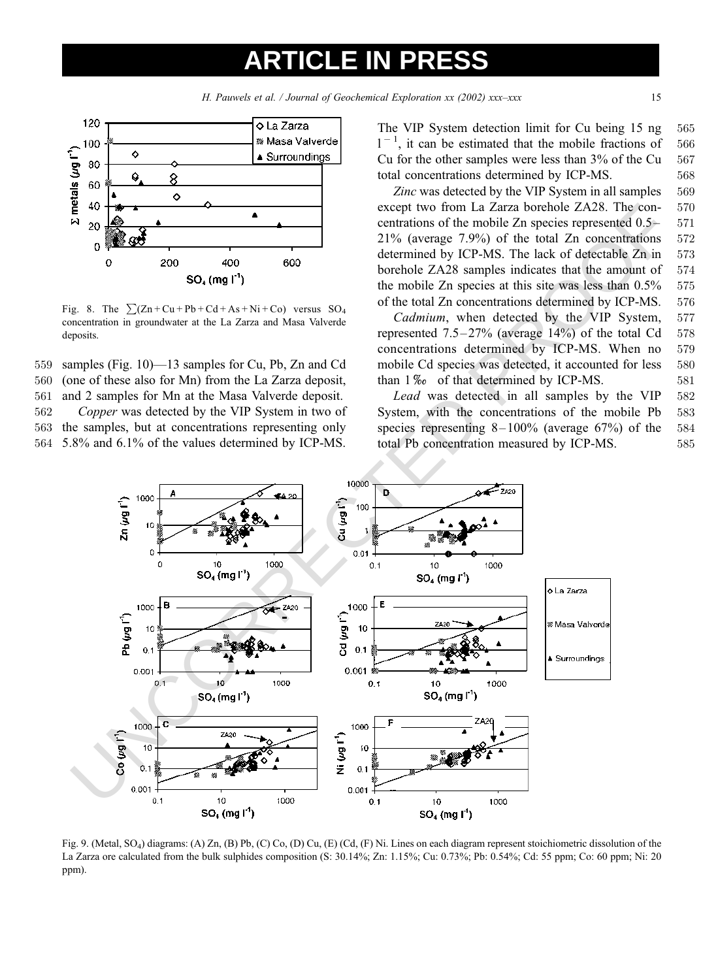

Fig. 8. The  $\sum (Zn + Cu + Pb + Cd + As + Ni + Co)$  versus SO<sub>4</sub> concentration in groundwater at the La Zarza and Masa Valverde deposits.

559 samples (Fig. 10)—13 samples for Cu, Pb, Zn and Cd 560 (one of these also for Mn) from the La Zarza deposit,

561 and 2 samples for Mn at the Masa Valverde deposit.

562 Copper was detected by the VIP System in two of 563 the samples, but at concentrations representing only

564 5.8% and 6.1% of the values determined by ICP-MS.

The VIP System detection limit for Cu being 15 ng 565  $1^{-1}$ , it can be estimated that the mobile fractions of 566 Cu for the other samples were less than  $3\%$  of the Cu 567 total concentrations determined by ICP-MS. 568

Zinc was detected by the VIP System in all samples 569 except two from La Zarza borehole ZA28. The con- 570 centrations of the mobile Zn species represented 0.5– 571 21% (average 7.9%) of the total Zn concentrations 572 determined by ICP-MS. The lack of detectable Zn in 573 borehole ZA28 samples indicates that the amount of 574 the mobile Zn species at this site was less than  $0.5\%$  575 of the total Zn concentrations determined by ICP-MS. 576

Cadmium, when detected by the VIP System, 577 represented  $7.5-27\%$  (average 14%) of the total Cd 578 concentrations determined by ICP-MS. When no 579 mobile Cd species was detected, it accounted for less 580 than  $1\%$  of that determined by ICP-MS.  $581$ 

Lead was detected in all samples by the VIP 582 System, with the concentrations of the mobile Pb 583 species representing  $8-100\%$  (average 67%) of the 584 total Pb concentration measured by ICP-MS. 585



Fig. 9. (Metal, SO4) diagrams: (A) Zn, (B) Pb, (C) Co, (D) Cu, (E) (Cd, (F) Ni. Lines on each diagram represent stoichiometric dissolution of the La Zarza ore calculated from the bulk sulphides composition (S: 30.14%; Zn: 1.15%; Cu: 0.73%; Pb: 0.54%; Cd: 55 ppm; Co: 60 ppm; Ni: 20 ppm).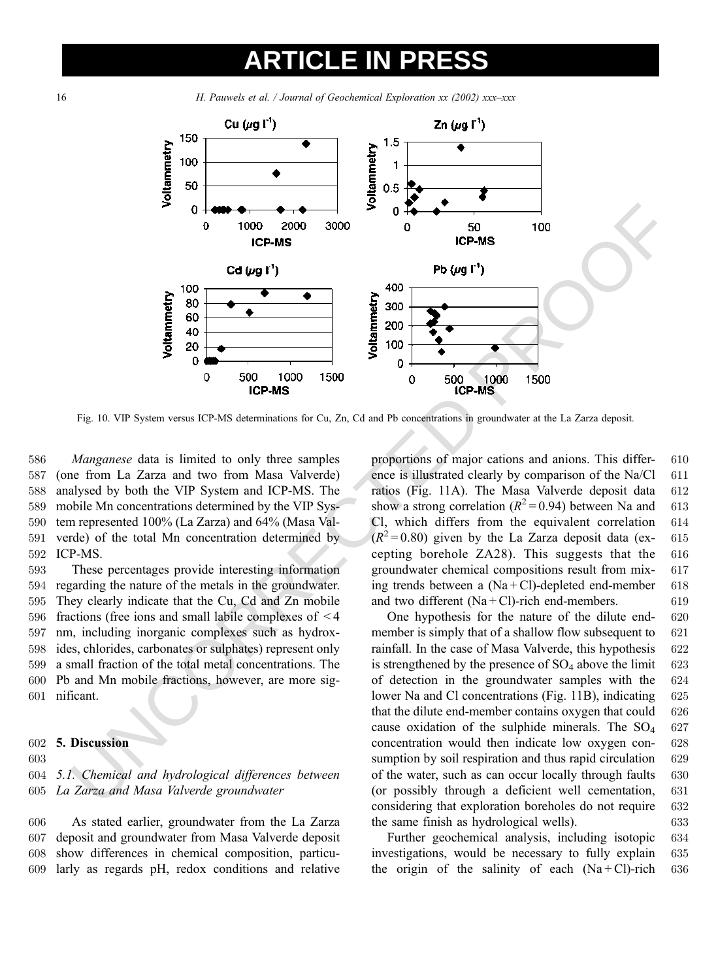16 H. Pauwels et al. / Journal of Geochemical Exploration xx (2002) xxx–xxx



Fig. 10. VIP System versus ICP-MS determinations for Cu, Zn, Cd and Pb concentrations in groundwater at the La Zarza deposit.

 Manganese data is limited to only three samples (one from La Zarza and two from Masa Valverde) analysed by both the VIP System and ICP-MS. The mobile Mn concentrations determined by the VIP Sys- tem represented 100% (La Zarza) and 64% (Masa Val- verde) of the total Mn concentration determined by 592 ICP-MS.

 These percentages provide interesting information regarding the nature of the metals in the groundwater. They clearly indicate that the Cu, Cd and Zn mobile fractions (free ions and small labile complexes of < 4 nm, including inorganic complexes such as hydrox- ides, chlorides, carbonates or sulphates) represent only a small fraction of the total metal concentrations. The Pb and Mn mobile fractions, however, are more sig-nificant.

### 602 5. Discussion

603

604 5.1. Chemical and hydrological differences between 605 La Zarza and Masa Valverde groundwater

 As stated earlier, groundwater from the La Zarza deposit and groundwater from Masa Valverde deposit show differences in chemical composition, particu-larly as regards pH, redox conditions and relative proportions of major cations and anions. This differ- 610 ence is illustrated clearly by comparison of the Na/Cl 611 ratios (Fig. 11A). The Masa Valverde deposit data 612 show a strong correlation ( $R^2 = 0.94$ ) between Na and 613 Cl, which differs from the equivalent correlation 614  $(R<sup>2</sup>=0.80)$  given by the La Zarza deposit data (ex-615) cepting borehole ZA28). This suggests that the 616 groundwater chemical compositions result from mix- 617 ing trends between a  $(Na + Cl)$ -depleted end-member 618 and two different  $(Na + Cl)$ -rich end-members. 619

One hypothesis for the nature of the dilute end- 620 member is simply that of a shallow flow subsequent to 621 rainfall. In the case of Masa Valverde, this hypothesis 622 is strengthened by the presence of  $SO_4$  above the limit 623 of detection in the groundwater samples with the 624 lower Na and Cl concentrations (Fig. 11B), indicating 625 that the dilute end-member contains oxygen that could 626 cause oxidation of the sulphide minerals. The  $SO_4$  627 concentration would then indicate low oxygen con- 628 sumption by soil respiration and thus rapid circulation 629 of the water, such as can occur locally through faults 630 (or possibly through a deficient well cementation, 631 considering that exploration boreholes do not require 632 the same finish as hydrological wells). 633

Further geochemical analysis, including isotopic 634 investigations, would be necessary to fully explain 635 the origin of the salinity of each  $(Na + Cl)$ -rich 636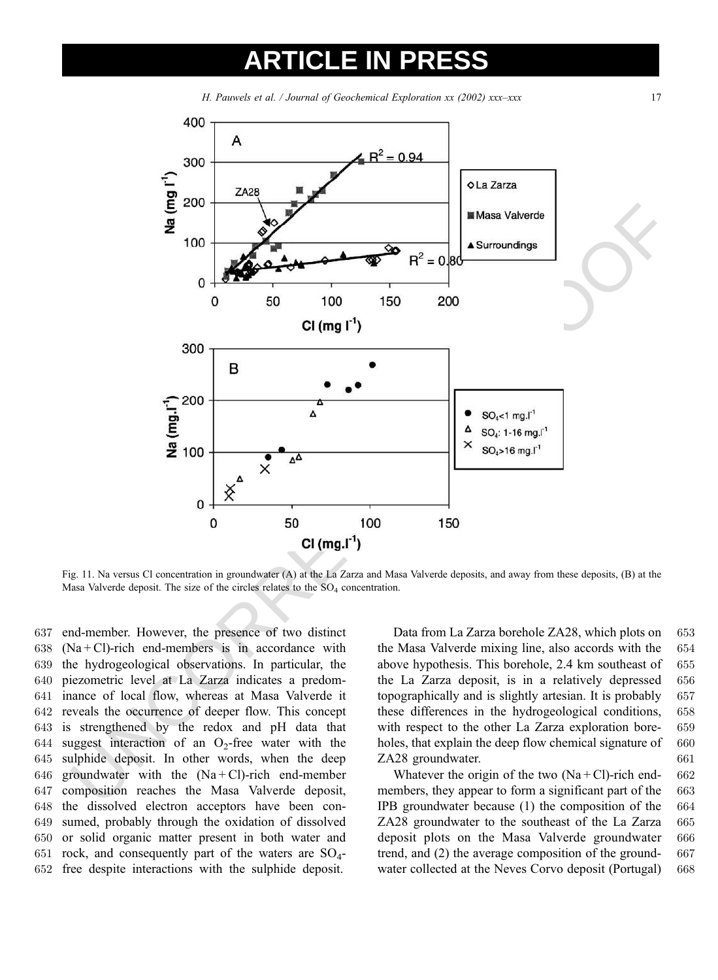

H. Pauwels et al. / Journal of Geochemical Exploration xx (2002) xxx–xxx 17

Fig. 11. Na versus Cl concentration in groundwater (A) at the La Zarza and Masa Valverde deposits, and away from these deposits, (B) at the Masa Valverde deposit. The size of the circles relates to the SO<sub>4</sub> concentration.

 end-member. However, the presence of two distinct 638 (Na + Cl)-rich end-members is in accordance with the hydrogeological observations. In particular, the piezometric level at La Zarza indicates a predom- inance of local flow, whereas at Masa Valverde it reveals the occurrence of deeper flow. This concept is strengthened by the redox and pH data that 644 suggest interaction of an  $O_2$ -free water with the sulphide deposit. In other words, when the deep 646 groundwater with the  $(Na + Cl)$ -rich end-member composition reaches the Masa Valverde deposit, the dissolved electron acceptors have been con- sumed, probably through the oxidation of dissolved or solid organic matter present in both water and 651 rock, and consequently part of the waters are  $SO_4$ -free despite interactions with the sulphide deposit.

Data from La Zarza borehole ZA28, which plots on 653 the Masa Valverde mixing line, also accords with the 654 above hypothesis. This borehole, 2.4 km southeast of 655 the La Zarza deposit, is in a relatively depressed 656 topographically and is slightly artesian. It is probably 657 these differences in the hydrogeological conditions, 658 with respect to the other La Zarza exploration bore- 659 holes, that explain the deep flow chemical signature of 660 ZA28 groundwater. 661

Whatever the origin of the two  $(Na + Cl)$ -rich end- 662 members, they appear to form a significant part of the 663 IPB groundwater because (1) the composition of the 664 ZA28 groundwater to the southeast of the La Zarza 665 deposit plots on the Masa Valverde groundwater 666 trend, and (2) the average composition of the ground- 667 water collected at the Neves Corvo deposit (Portugal) 668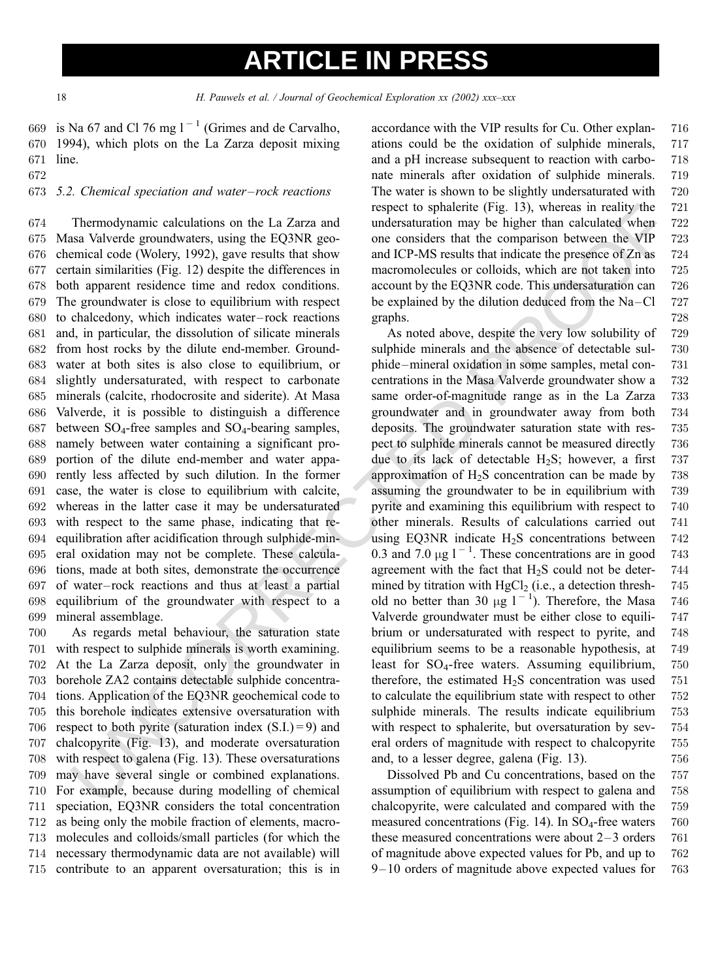669 is Na 67 and Cl 76 mg  $1^{-1}$  (Grimes and de Carvalho, 670 1994), which plots on the La Zarza deposit mixing 671 line.

672

673 5.2. Chemical speciation and water – rock reactions

 Thermodynamic calculations on the La Zarza and Masa Valverde groundwaters, using the EQ3NR geo- chemical code (Wolery, 1992), gave results that show certain similarities (Fig. 12) despite the differences in both apparent residence time and redox conditions. The groundwater is close to equilibrium with respect to chalcedony, which indicates water – rock reactions and, in particular, the dissolution of silicate minerals from host rocks by the dilute end-member. Ground- water at both sites is also close to equilibrium, or slightly undersaturated, with respect to carbonate minerals (calcite, rhodocrosite and siderite). At Masa Valverde, it is possible to distinguish a difference 687 between  $SO_4$ -free samples and  $SO_4$ -bearing samples, namely between water containing a significant pro- portion of the dilute end-member and water appa- rently less affected by such dilution. In the former case, the water is close to equilibrium with calcite, whereas in the latter case it may be undersaturated with respect to the same phase, indicating that re- equilibration after acidification through sulphide-min- eral oxidation may not be complete. These calcula- tions, made at both sites, demonstrate the occurrence of water – rock reactions and thus at least a partial equilibrium of the groundwater with respect to a mineral assemblage.

 As regards metal behaviour, the saturation state with respect to sulphide minerals is worth examining. At the La Zarza deposit, only the groundwater in borehole ZA2 contains detectable sulphide concentra- tions. Application of the EQ3NR geochemical code to this borehole indicates extensive oversaturation with 706 respect to both pyrite (saturation index  $(S,I) = 9$ ) and chalcopyrite (Fig. 13), and moderate oversaturation with respect to galena (Fig. 13). These oversaturations may have several single or combined explanations. For example, because during modelling of chemical speciation, EQ3NR considers the total concentration as being only the mobile fraction of elements, macro- molecules and colloids/small particles (for which the necessary thermodynamic data are not available) will contribute to an apparent oversaturation; this is in accordance with the VIP results for Cu. Other explan- 716 ations could be the oxidation of sulphide minerals, 717 and a pH increase subsequent to reaction with carbo- 718 nate minerals after oxidation of sulphide minerals. 719 The water is shown to be slightly undersaturated with 720 respect to sphalerite (Fig. 13), whereas in reality the 721 undersaturation may be higher than calculated when 722 one considers that the comparison between the VIP 723 and ICP-MS results that indicate the presence of Zn as 724 macromolecules or colloids, which are not taken into 725 account by the EQ3NR code. This undersaturation can 726 be explained by the dilution deduced from the  $Na-Cl$  727 graphs. 728

Thermodynamic calculations on the La Zarza and<br>
unelenstuarito tries. 13, where in reality the<br>mass and women interaction ( $W_{\rm B}$ ), where come consider that the comparison between in calculated when<br>methat code (Woley, As noted above, despite the very low solubility of 729 sulphide minerals and the absence of detectable sul-<br>
730 phide –mineral oxidation in some samples, metal con- 731 centrations in the Masa Valverde groundwater show a 732 same order-of-magnitude range as in the La Zarza 733 groundwater and in groundwater away from both 734 deposits. The groundwater saturation state with res- 735 pect to sulphide minerals cannot be measured directly 736 due to its lack of detectable  $H_2S$ ; however, a first 737 approximation of  $H<sub>2</sub>S$  concentration can be made by 738 assuming the groundwater to be in equilibrium with 739 pyrite and examining this equilibrium with respect to 740 other minerals. Results of calculations carried out 741 using EQ3NR indicate  $H_2S$  concentrations between 742 0.3 and 7.0  $\mu$ g l<sup>-1</sup>. These concentrations are in good 743 agreement with the fact that  $H_2S$  could not be deter- 744 mined by titration with  $HgCl<sub>2</sub>$  (i.e., a detection thresh- 745) old no better than 30  $\mu$ g 1<sup>-1</sup>). Therefore, the Masa 746 Valverde groundwater must be either close to equili- 747 brium or undersaturated with respect to pyrite, and 748 equilibrium seems to be a reasonable hypothesis, at 749 least for SO<sub>4</sub>-free waters. Assuming equilibrium, 750 therefore, the estimated  $H_2S$  concentration was used 751 to calculate the equilibrium state with respect to other 752 sulphide minerals. The results indicate equilibrium 753 with respect to sphalerite, but oversaturation by sev- 754 eral orders of magnitude with respect to chalcopyrite 755 and, to a lesser degree, galena (Fig. 13). 756

Dissolved Pb and Cu concentrations, based on the 757 assumption of equilibrium with respect to galena and 758 chalcopyrite, were calculated and compared with the 759 measured concentrations (Fig. 14). In  $SO_4$ -free waters 760 these measured concentrations were about  $2-3$  orders 761 of magnitude above expected values for Pb, and up to 762 9– 10 orders of magnitude above expected values for 763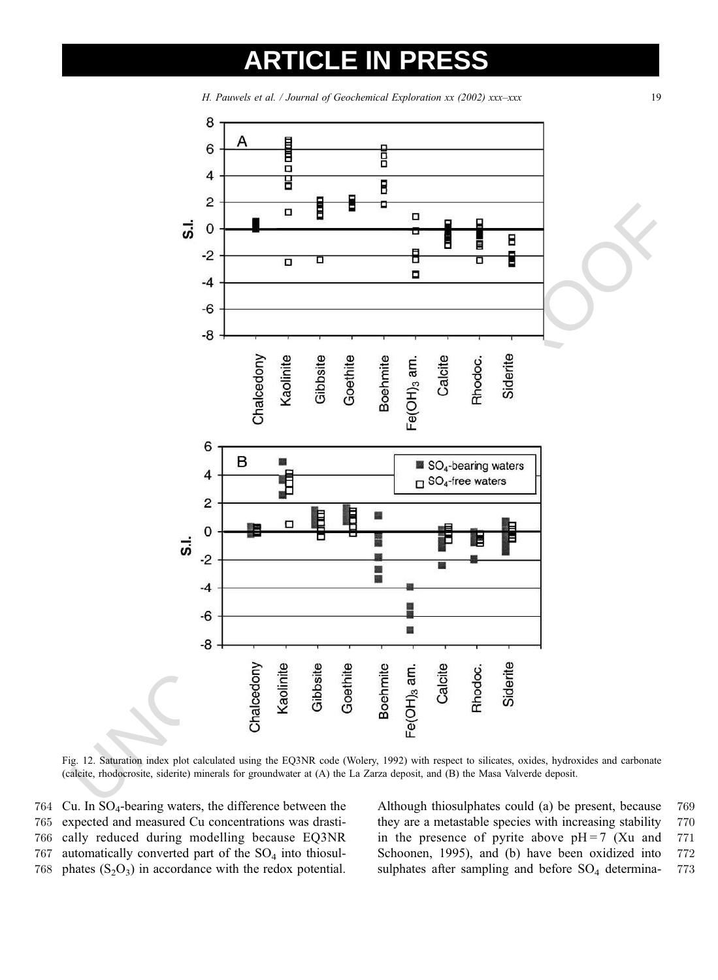

H. Pauwels et al. / Journal of Geochemical Exploration xx (2002) xxx–xxx 19

Fig. 12. Saturation index plot calculated using the EQ3NR code (Wolery, 1992) with respect to silicates, oxides, hydroxides and carbonate (calcite, rhodocrosite, siderite) minerals for groundwater at (A) the La Zarza deposit, and (B) the Masa Valverde deposit.

764 Cu. In  $SO_4$ -bearing waters, the difference between the 765 expected and measured Cu concentrations was drasti-766 cally reduced during modelling because EQ3NR 767 automatically converted part of the  $SO<sub>4</sub>$  into thiosul-768 phates  $(S_2O_3)$  in accordance with the redox potential. Although thiosulphates could (a) be present, because 769 they are a metastable species with increasing stability 770 in the presence of pyrite above  $pH = 7$  (Xu and 771) Schoonen, 1995), and (b) have been oxidized into 772 sulphates after sampling and before  $SO_4$  determina-  $773$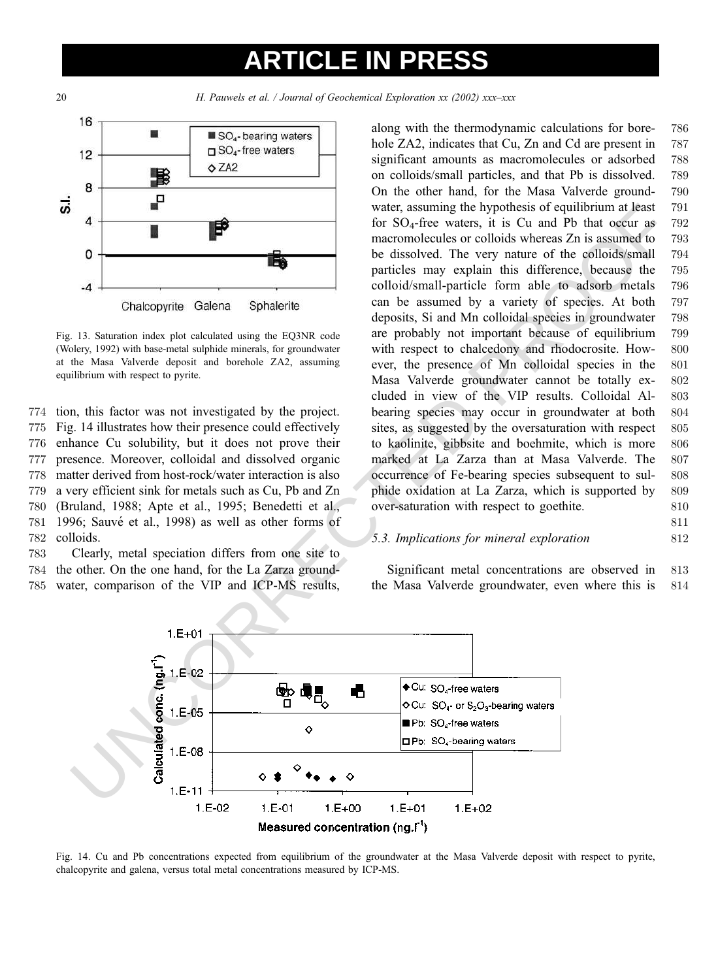20 *H. Pauwels et al. / Journal of Geochemical Exploration xx (2002) xxx–xxx* 



Fig. 13. Saturation index plot calculated using the EQ3NR code (Wolery, 1992) with base-metal sulphide minerals, for groundwater at the Masa Valverde deposit and borehole ZA2, assuming equilibrium with respect to pyrite.

 tion, this factor was not investigated by the project. Fig. 14 illustrates how their presence could effectively enhance Cu solubility, but it does not prove their presence. Moreover, colloidal and dissolved organic matter derived from host-rock/water interaction is also a very efficient sink for metals such as Cu, Pb and Zn (Bruland, 1988; Apte et al., 1995; Benedetti et al., 781 1996; Sauvé et al., 1998) as well as other forms of colloids.

783 Clearly, metal speciation differs from one site to 784 the other. On the one hand, for the La Zarza ground-785 water, comparison of the VIP and ICP-MS results, along with the thermodynamic calculations for bore- 786 hole ZA2, indicates that Cu, Zn and Cd are present in 787 significant amounts as macromolecules or adsorbed 788 on colloids/small particles, and that Pb is dissolved. 789 On the other hand, for the Masa Valverde ground- 790 water, assuming the hypothesis of equilibrium at least 791 for  $SO_4$ -free waters, it is Cu and Pb that occur as 792 macromolecules or colloids whereas Zn is assumed to 793 be dissolved. The very nature of the colloids/small 794 particles may explain this difference, because the 795 colloid/small-particle form able to adsorb metals 796 can be assumed by a variety of species. At both 797 deposits, Si and Mn colloidal species in groundwater 798 are probably not important because of equilibrium 799 with respect to chalcedony and rhodocrosite. How- 800 ever, the presence of Mn colloidal species in the 801 Masa Valverde groundwater cannot be totally ex- 802 cluded in view of the VIP results. Colloidal Al- 803 bearing species may occur in groundwater at both 804 sites, as suggested by the oversaturation with respect 805 to kaolinite, gibbsite and boehmite, which is more 806 marked at La Zarza than at Masa Valverde. The 807 occurrence of Fe-bearing species subsequent to sul- 808 phide oxidation at La Zarza, which is supported by 809 over-saturation with respect to goethite. 810

### 5.3. Implications for mineral exploration 812

Significant metal concentrations are observed in 813 the Masa Valverde groundwater, even where this is 814

811



Fig. 14. Cu and Pb concentrations expected from equilibrium of the groundwater at the Masa Valverde deposit with respect to pyrite, chalcopyrite and galena, versus total metal concentrations measured by ICP-MS.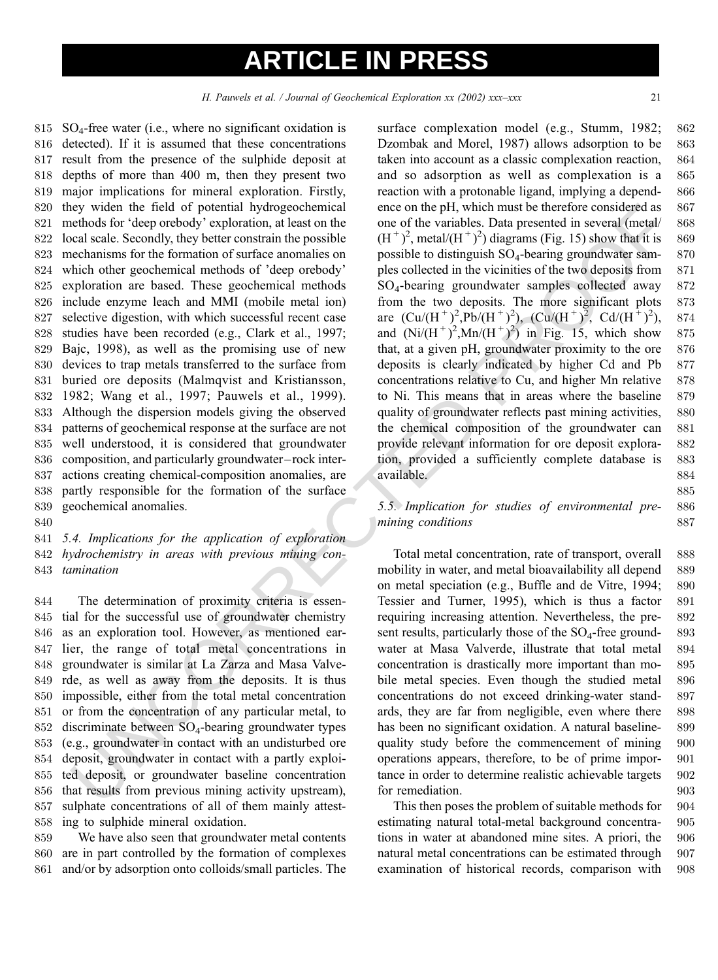sy widen the field of potential hydrogeochemical enero on the pl, which must be therefore considered as<br>could be the system of the variables. Data presented in several functility<br>could solve be the middividibles of the va  $SO_4$ -free water (i.e., where no significant oxidation is detected). If it is assumed that these concentrations result from the presence of the sulphide deposit at depths of more than 400 m, then they present two major implications for mineral exploration. Firstly, they widen the field of potential hydrogeochemical methods for 'deep orebody' exploration, at least on the local scale. Secondly, they better constrain the possible mechanisms for the formation of surface anomalies on which other geochemical methods of 'deep orebody' exploration are based. These geochemical methods include enzyme leach and MMI (mobile metal ion) selective digestion, with which successful recent case studies have been recorded (e.g., Clark et al., 1997; Bajc, 1998), as well as the promising use of new devices to trap metals transferred to the surface from buried ore deposits (Malmqvist and Kristiansson, 1982; Wang et al., 1997; Pauwels et al., 1999). Although the dispersion models giving the observed patterns of geochemical response at the surface are not well understood, it is considered that groundwater 836 composition, and particularly groundwater-rock inter- actions creating chemical-composition anomalies, are partly responsible for the formation of the surface geochemical anomalies.

840

841 5.4. Implications for the application of exploration 842 hydrochemistry in areas with previous mining con-843 tamination

 The determination of proximity criteria is essen- tial for the successful use of groundwater chemistry as an exploration tool. However, as mentioned ear- lier, the range of total metal concentrations in groundwater is similar at La Zarza and Masa Valve- rde, as well as away from the deposits. It is thus impossible, either from the total metal concentration or from the concentration of any particular metal, to 852 discriminate between  $SO_4$ -bearing groundwater types (e.g., groundwater in contact with an undisturbed ore deposit, groundwater in contact with a partly exploi- ted deposit, or groundwater baseline concentration that results from previous mining activity upstream), sulphate concentrations of all of them mainly attest-ing to sulphide mineral oxidation.

859 We have also seen that groundwater metal contents 860 are in part controlled by the formation of complexes 861 and/or by adsorption onto colloids/small particles. The surface complexation model (e.g., Stumm, 1982; 862 Dzombak and Morel, 1987) allows adsorption to be 863 taken into account as a classic complexation reaction, 864 and so adsorption as well as complexation is a 865 reaction with a protonable ligand, implying a depend- 866 ence on the pH, which must be therefore considered as 867 one of the variables. Data presented in several (metal/ 868  $(H<sup>+</sup>)<sup>2</sup>$ , metal/ $(H<sup>+</sup>)<sup>2</sup>$ ) diagrams (Fig. 15) show that it is 869 possible to distinguish SO4-bearing groundwater sam- 870 ples collected in the vicinities of the two deposits from 871 SO4-bearing groundwater samples collected away 872 from the two deposits. The more significant plots 873 are  $(Cu/(H^+)^2, Pb/(H^+)^2)$ ,  $(Cu/(H^+)^2, Cd/(H^+)^2)$ , 874 and  $(Ni/(H^+)^2, Mn/(H^+)^2)$  in Fig. 15, which show 875 that, at a given pH, groundwater proximity to the ore 876 deposits is clearly indicated by higher Cd and Pb 877 concentrations relative to Cu, and higher Mn relative 878 to Ni. This means that in areas where the baseline 879 quality of groundwater reflects past mining activities, 880 the chemical composition of the groundwater can 881 provide relevant information for ore deposit explora- 882 tion, provided a sufficiently complete database is 883 available. 884

## 5.5. Implication for studies of environmental pre- 886 mining conditions and the same services are seen as  $887$

Total metal concentration, rate of transport, overall 888 mobility in water, and metal bioavailability all depend 889 on metal speciation (e.g., Buffle and de Vitre, 1994; 890 Tessier and Turner, 1995), which is thus a factor 891 requiring increasing attention. Nevertheless, the pre- 892 sent results, particularly those of the  $SO_4$ -free ground- 893 water at Masa Valverde, illustrate that total metal 894 concentration is drastically more important than mo- 895 bile metal species. Even though the studied metal 896 concentrations do not exceed drinking-water stand- 897 ards, they are far from negligible, even where there 898 has been no significant oxidation. A natural baseline- 899 quality study before the commencement of mining 900 operations appears, therefore, to be of prime impor- 901 tance in order to determine realistic achievable targets 902 for remediation. 903

This then poses the problem of suitable methods for 904 estimating natural total-metal background concentra- 905 tions in water at abandoned mine sites. A priori, the 906 natural metal concentrations can be estimated through 907 examination of historical records, comparison with 908

885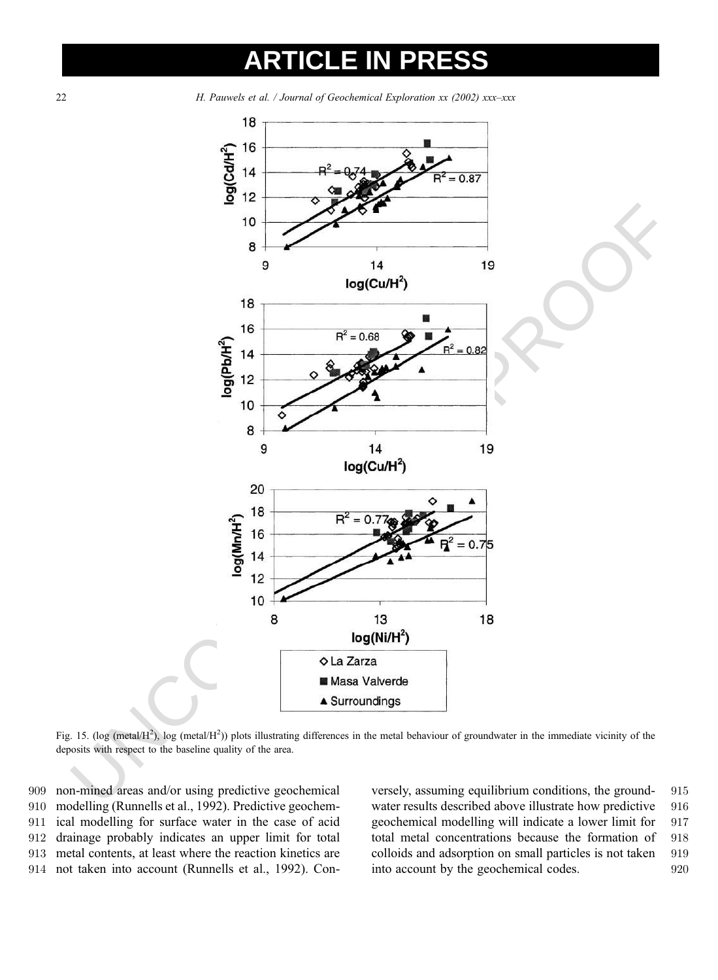22 H. Pauwels et al. / Journal of Geochemical Exploration xx (2002) xxx-xxx



Fig. 15. (log (metal/ $H^2$ ), log (metal/ $H^2$ )) plots illustrating differences in the metal behaviour of groundwater in the immediate vicinity of the deposits with respect to the baseline quality of the area.

 non-mined areas and/or using predictive geochemical modelling (Runnells et al., 1992). Predictive geochem- ical modelling for surface water in the case of acid drainage probably indicates an upper limit for total metal contents, at least where the reaction kinetics are not taken into account (Runnells et al., 1992). Conversely, assuming equilibrium conditions, the ground- 915 water results described above illustrate how predictive 916 geochemical modelling will indicate a lower limit for 917 total metal concentrations because the formation of 918 colloids and adsorption on small particles is not taken 919 into account by the geochemical codes. 920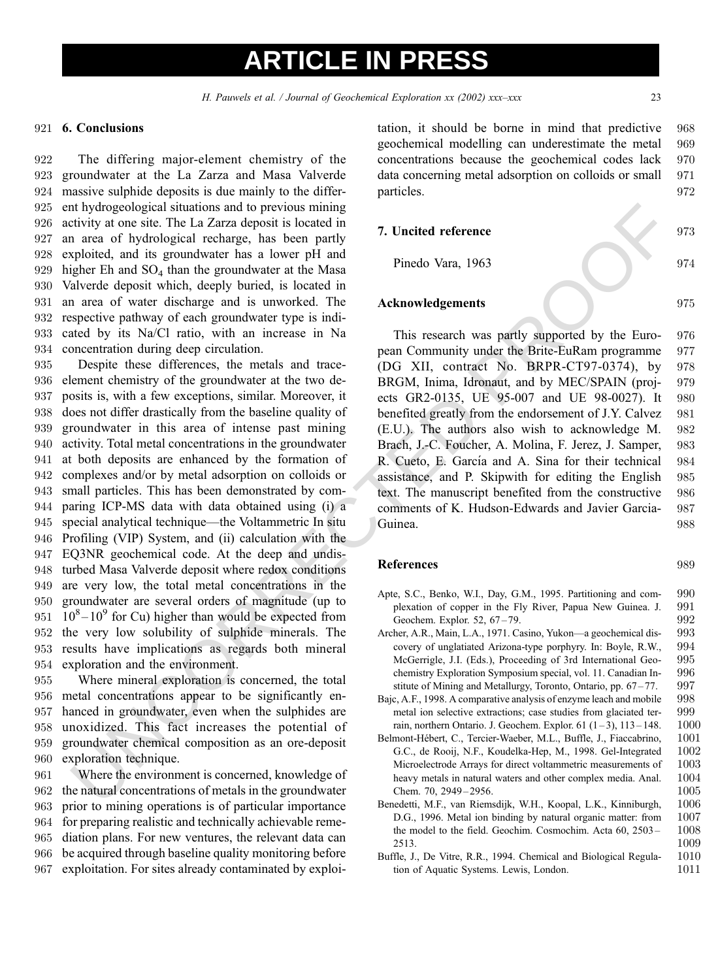## 921 6. Conclusions

 The differing major-element chemistry of the groundwater at the La Zarza and Masa Valverde massive sulphide deposits is due mainly to the differ- ent hydrogeological situations and to previous mining activity at one site. The La Zarza deposit is located in an area of hydrological recharge, has been partly exploited, and its groundwater has a lower pH and 929 higher Eh and  $SO_4$  than the groundwater at the Masa Valverde deposit which, deeply buried, is located in an area of water discharge and is unworked. The respective pathway of each groundwater type is indi- cated by its Na/Cl ratio, with an increase in Na concentration during deep circulation.

nt hydrogeological sinuations and to previous mining of the sinuation of the parameteric and by the basis and the sinual South of the sinual South of the sinual South (including the main of by the sinual South (including Despite these differences, the metals and trace- element chemistry of the groundwater at the two de- posits is, with a few exceptions, similar. Moreover, it does not differ drastically from the baseline quality of groundwater in this area of intense past mining activity. Total metal concentrations in the groundwater at both deposits are enhanced by the formation of complexes and/or by metal adsorption on colloids or small particles. This has been demonstrated by com- paring ICP-MS data with data obtained using (i) a special analytical technique—the Voltammetric In situ Profiling (VIP) System, and (ii) calculation with the EQ3NR geochemical code. At the deep and undis- turbed Masa Valverde deposit where redox conditions are very low, the total metal concentrations in the groundwater are several orders of magnitude (up to  $951 \quad 10^8 - 10^9$  for Cu) higher than would be expected from the very low solubility of sulphide minerals. The results have implications as regards both mineral exploration and the environment.

 Where mineral exploration is concerned, the total metal concentrations appear to be significantly en- hanced in groundwater, even when the sulphides are unoxidized. This fact increases the potential of groundwater chemical composition as an ore-deposit exploration technique.

 Where the environment is concerned, knowledge of the natural concentrations of metals in the groundwater prior to mining operations is of particular importance for preparing realistic and technically achievable reme- diation plans. For new ventures, the relevant data can be acquired through baseline quality monitoring before exploitation. For sites already contaminated by exploitation, it should be borne in mind that predictive 968 geochemical modelling can underestimate the metal 969 concentrations because the geochemical codes lack 970 data concerning metal adsorption on colloids or small 971 particles. 972

### 7. Uncited reference 973

Pinedo Vara, 1963 974

### Acknowledgements 975

This research was partly supported by the Euro- 976 pean Community under the Brite-EuRam programme 977 (DG XII, contract No. BRPR-CT97-0374), by 978 BRGM, Inima, Idronaut, and by MEC/SPAIN (proj- 979 ects GR2-0135, UE 95-007 and UE 98-0027). It 980 benefited greatly from the endorsement of J.Y. Calvez 981 (E.U.). The authors also wish to acknowledge M. 982 Brach, J.-C. Foucher, A. Molina, F. Jerez, J. Samper, 983 R. Cueto, E. García and A. Sina for their technical 984 assistance, and P. Skipwith for editing the English 985 text. The manuscript benefited from the constructive 986 comments of K. Hudson-Edwards and Javier Garcia- 987 Guinea. 988

### References 989

- Apte, S.C., Benko, W.I., Day, G.M., 1995. Partitioning and com- 990 plexation of copper in the Fly River, Papua New Guinea. J. 991 Geochem. Explor. 52, 67–79. 992
- Archer, A.R., Main, L.A., 1971. Casino, Yukon—a geochemical dis- 993 covery of unglatiated Arizona-type porphyry. In: Boyle, R.W., 994 McGerrigle, J.I. (Eds.), Proceeding of 3rd International Geo- 995 chemistry Exploration Symposium special, vol. 11. Canadian In- 996 stitute of Mining and Metallurgy, Toronto, Ontario, pp.  $67-77$ . 997
- Bajc, A.F., 1998. A comparative analysis of enzyme leach and mobile 998 metal ion selective extractions; case studies from glaciated ter- 999 rain, northern Ontario. J. Geochem. Explor.  $61$   $(1-3)$ ,  $113-148$ . 1000
- Belmont-Hébert, C., Tercier-Waeber, M.L., Buffle, J., Fiaccabrino, 1001 G.C., de Rooij, N.F., Koudelka-Hep, M., 1998. Gel-Integrated 1002 Microelectrode Arrays for direct voltammetric measurements of 1003 heavy metals in natural waters and other complex media. Anal. 1004 Chem. 70, 2949–2956. 1005
- Benedetti, M.F., van Riemsdijk, W.H., Koopal, L.K., Kinniburgh, 1006 D.G., 1996. Metal ion binding by natural organic matter: from 1007 the model to the field. Geochim. Cosmochim. Acta 60, 2503 - 1008 2513. 1009
- Buffle, J., De Vitre, R.R., 1994. Chemical and Biological Regula- 1010 tion of Aquatic Systems. Lewis, London. 1011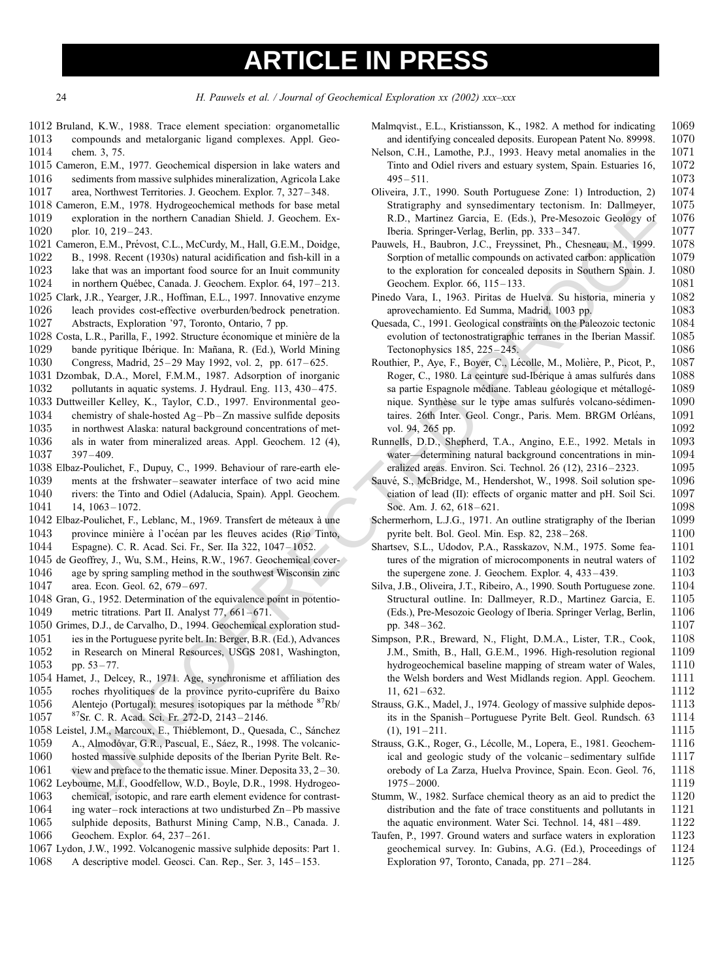24 H. Pauwels et al. / Journal of Geochemical Exploration xx (2002) xxx–xxx

- 1012 Bruland, K.W., 1988. Trace element speciation: organometallic 1013 compounds and metalorganic ligand complexes. Appl. Geo-1014 chem. 3, 75.
- 1015 Cameron, E.M., 1977. Geochemical dispersion in lake waters and 1016 sediments from massive sulphides mineralization, Agricola Lake

1017 area, Northwest Territories. J. Geochem. Explor. 7, 327 – 348.

- 1018 Cameron, E.M., 1978. Hydrogeochemical methods for base metal
- 1019 exploration in the northern Canadian Shield. J. Geochem. Ex-1020 plor. 10, 219–243.
- 1021 Cameron, E.M., Prévost, C.L., McCurdy, M., Hall, G.E.M., Doidge,
- 1022 B., 1998. Recent (1930s) natural acidification and fish-kill in a
- 1023 lake that was an important food source for an Inuit community
- 1024 in northern Québec, Canada. J. Geochem. Explor. 64, 197-213.
- 1025 Clark, J.R., Yearger, J.R., Hoffman, E.L., 1997. Innovative enzyme 1026 leach provides cost-effective overburden/bedrock penetration.
- 1027 Abstracts, Exploration '97, Toronto, Ontario, 7 pp.
- 1028 Costa, L.R., Parilla, F., 1992. Structure économique et minière de la
- 1029 bande pyritique Ibérique. In: Mañana, R. (Ed.), World Mining 1030 Congress, Madrid, 25 – 29 May 1992, vol. 2, pp. 617 – 625.
- 1031 Dzombak, D.A., Morel, F.M.M., 1987. Adsorption of inorganic 1032 pollutants in aquatic systems. J. Hydraul. Eng. 113, 430–475.
- 1033 Duttweiller Kelley, K., Taylor, C.D., 1997. Environmental geo-
- 1034 chemistry of shale-hosted Ag Pb –Zn massive sulfide deposits
- 1035 in northwest Alaska: natural background concentrations of met-1036 als in water from mineralized areas. Appl. Geochem. 12 (4),
- 1037 397 409.
- 1038 Elbaz-Poulichet, F., Dupuy, C., 1999. Behaviour of rare-earth ele-
- 1039 ments at the frshwater seawater interface of two acid mine 1040 rivers: the Tinto and Odiel (Adalucia, Spain). Appl. Geochem.
- $14. 1063 1072.$
- 1042 Elbaz-Poulichet, F., Leblanc, M., 1969. Transfert de méteaux à une 1043 province minière à l'océan par les fleuves acides (Rio Tinto, 1044 Espagne). C. R. Acad. Sci. Fr., Ser. IIa 322, 1047-1052. Espagne). C. R. Acad. Sci. Fr., Ser. IIa 322, 1047-1052.
- 1045 de Geoffrey, J., Wu, S.M., Heins, R.W., 1967. Geochemical cover-
- 1046 age by spring sampling method in the southwest Wisconsin zinc 1047 area. Econ. Geol. 62, 679 – 697.
- 1048 Gran, G., 1952. Determination of the equivalence point in potentio-1049 metric titrations. Part II. Analyst 77, 661-671.
- 1050 Grimes, D.J., de Carvalho, D., 1994. Geochemical exploration stud-1051 ies in the Portuguese pyrite belt. In: Berger, B.R. (Ed.), Advances
- 1052 in Research on Mineral Resources, USGS 2081, Washington,  $1053$  pp. 53 – 77.
- 1054 Hamet, J., Delcey, R., 1971. Age, synchronisme et affiliation des
- 1055 roches rhyolitiques de la province pyrito-cuprifère du Baixo 1056 Alentejo (Portugal): mesures isotopiques par la méthode  ${}^{87}Rb/$
- 1057 87Sr. C. R. Acad. Sci. Fr. 272-D, 2143-2146.
- 1058 Leistel, J.M., Marcoux, E., Thiéblemont, D., Quesada, C., Sánchez 1059 A., Almodóvar, G.R., Pascual, E., Sáez, R., 1998. The volcanic-
- 1060 hosted massive sulphide deposits of the Iberian Pyrite Belt. Re-
- 1061 view and preface to the thematic issue. Miner. Deposita 33, 2–30. 1062 Leybourne, M.I., Goodfellow, W.D., Boyle, D.R., 1998. Hydrogeo-
- 1063 chemical, isotopic, and rare earth element evidence for contrast-
- 1064 ing water rock interactions at two undisturbed Zn Pb massive 1065 sulphide deposits, Bathurst Mining Camp, N.B., Canada. J.
- 1066 Geochem. Explor. 64, 237 261.
- 1067 Lydon, J.W., 1992. Volcanogenic massive sulphide deposits: Part 1.
- 1068 A descriptive model. Geosci. Can. Rep., Ser. 3, 145 153.
- Malmqvist., E.L., Kristiansson, K., 1982. A method for indicating 1069 and identifying concealed deposits. European Patent No. 89998. 1070 Nelson, C.H., Lamothe, P.J., 1993. Heavy metal anomalies in the 1071 Tinto and Odiel rivers and estuary system, Spain. Estuaries 16, 1072 495 – 511. 1073
- Oliveira, J.T., 1990. South Portuguese Zone: 1) Introduction, 2) 1074 Stratigraphy and synsedimentary tectonism. In: Dallmeyer, 1075 R.D., Martinez Garcia, E. (Eds.), Pre-Mesozoic Geology of 1076 Iberia. Springer-Verlag, Berlin, pp. 333 – 347. 1077
- Pauwels, H., Baubron, J.C., Freyssinet, Ph., Chesneau, M., 1999. 1078 Sorption of metallic compounds on activated carbon: application 1079 to the exploration for concealed deposits in Southern Spain. J. 1080 Geochem. Explor. 66, 115–133. 1081
- Pinedo Vara, I., 1963. Piritas de Huelva. Su historia, mineria y 1082 aprovechamiento. Ed Summa, Madrid, 1003 pp. 1083
- Quesada, C., 1991. Geological constraints on the Paleozoic tectonic 1084 evolution of tectonostratigraphic terranes in the Iberian Massif. 1085 Tectonophysics 185, 225–245. 1086
- mean, T.M., 1975. Hydrogendomical methods for base weall in Tables 1, 1976. The particle in the state of the state of the state of the state of the state of the state of the state of the state of the state of the state of Routhier, P., Aye, F., Boyer, C., Lécolle, M., Molière, P., Picot, P., 1087 Roger, C., 1980. La ceinture sud-Ibérique à amas sulfurés dans 1088 sa partie Espagnole médiane. Tableau géologique et métallogé- 1089 nique. Synthèse sur le type amas sulfurés volcano-sédimen- 1090 taires. 26th Inter. Geol. Congr., Paris. Mem. BRGM Orléans, 1091 vol. 94, 265 pp. 1092<br>nnells, D.D., Shepherd, T.A., Angino, F.E., 1992. Metals in 1093
	- Runnells, D.D., Shepherd, T.A., Angino, E.E., 1992. Metals in water—determining natural background concentrations in min-<br>1094 eralized areas. Environ. Sci. Technol. 26 (12), 2316-2323. 1095
	- Sauvé, S., McBridge, M., Hendershot, W., 1998. Soil solution spe- 1096 ciation of lead (II): effects of organic matter and pH. Soil Sci. 1097<br>Soc. Am. J. 62, 618–621. 1098 Soc. Am. J. 62, 618-621.
	- Schermerhorn, L.J.G., 1971. An outline stratigraphy of the Iberian 1099 pyrite belt. Bol. Geol. Min. Esp. 82, 238-268. 1100
	- Shartsev, S.L., Udodov, P.A., Rasskazov, N.M., 1975. Some fea- 1101 tures of the migration of microcomponents in neutral waters of 1102 the supergene zone. J. Geochem. Explor. 4, 433-439. 1103
	- Silva, J.B., Oliveira, J.T., Ribeiro, A., 1990. South Portuguese zone. 1104 Structural outline. In: Dallmeyer, R.D., Martinez Garcia, E. 1105 (Eds.), Pre-Mesozoic Geology of Iberia. Springer Verlag, Berlin, 1106 pp. 348 – 362. 1107
	- Simpson, P.R., Breward, N., Flight, D.M.A., Lister, T.R., Cook, 1108 J.M., Smith, B., Hall, G.E.M., 1996. High-resolution regional 1109 hydrogeochemical baseline mapping of stream water of Wales, 1110 the Welsh borders and West Midlands region. Appl. Geochem. 1111 11, 621–632. 1112
	- Strauss, G.K., Madel, J., 1974. Geology of massive sulphide depos- 1113 its in the Spanish – Portuguese Pyrite Belt. Geol. Rundsch. 63 1114  $(1), 191 - 211.$  1115
	- Strauss, G.K., Roger, G., Lécolle, M., Lopera, E., 1981. Geochem- 1116 ical and geologic study of the volcanic – sedimentary sulfide 1117 orebody of La Zarza, Huelva Province, Spain. Econ. Geol. 76, 1118 1975 – 2000. 1119
	- Stumm, W., 1982. Surface chemical theory as an aid to predict the 1120 distribution and the fate of trace constituents and pollutants in 1121 the aquatic environment. Water Sci. Technol. 14, 481-489. 1122
	- Taufen, P., 1997. Ground waters and surface waters in exploration 1123 geochemical survey. In: Gubins, A.G. (Ed.), Proceedings of 1124 Exploration 97, Toronto, Canada, pp.  $271-284$ . 1125